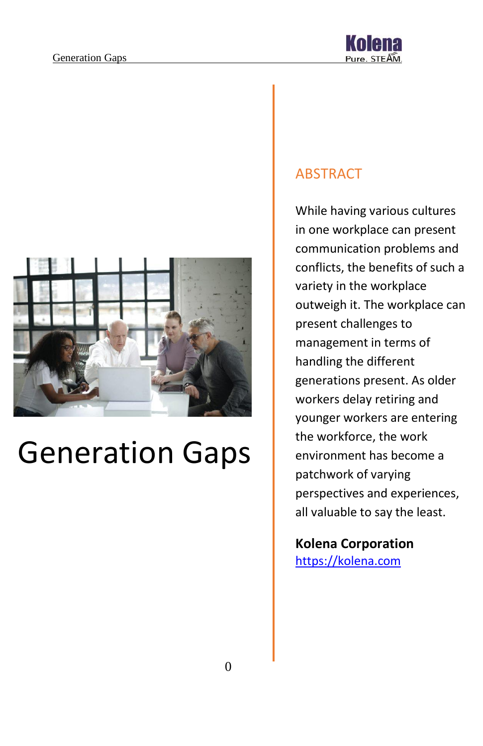



# Generation Gaps

### ABSTRACT

While having various cultures in one workplace can present communication problems and conflicts, the benefits of such a variety in the workplace outweigh it. The workplace can present challenges to management in terms of handling the different generations present. As older workers delay retiring and younger workers are entering the workforce, the work environment has become a patchwork of varying perspectives and experiences, all valuable to say the least.

**Kolena Corporation** [https://kolena.com](https://kolena.com/)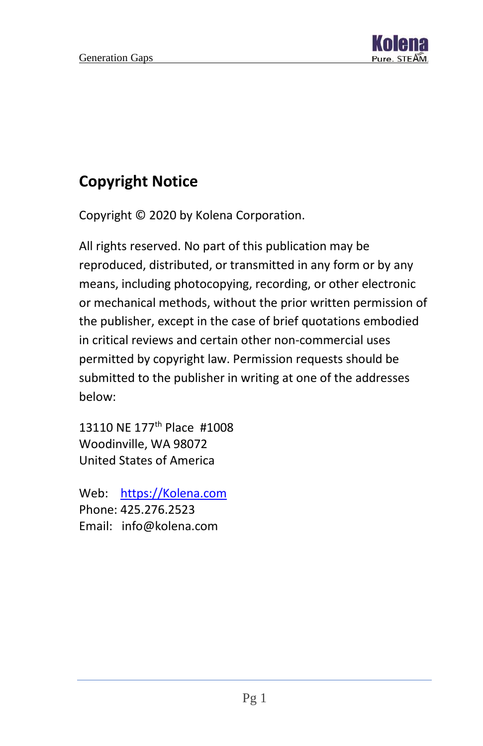

# **Copyright Notice**

Copyright © 2020 by Kolena Corporation.

All rights reserved. No part of this publication may be reproduced, distributed, or transmitted in any form or by any means, including photocopying, recording, or other electronic or mechanical methods, without the prior written permission of the publisher, except in the case of brief quotations embodied in critical reviews and certain other non-commercial uses permitted by copyright law. Permission requests should be submitted to the publisher in writing at one of the addresses below:

13110 NE 177<sup>th</sup> Place #1008 Woodinville, WA 98072 United States of America

Web: [https://Kolena.com](https://kolena.com/) Phone: 425.276.2523 Email: info@kolena.com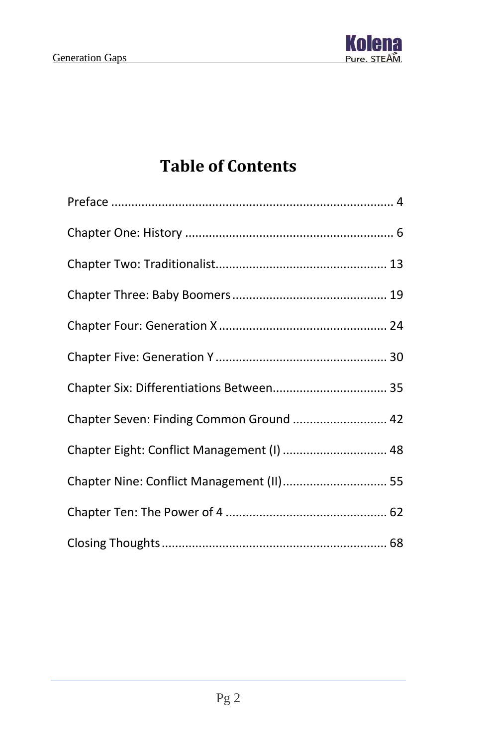

# **Table of Contents**

| Chapter Seven: Finding Common Ground  42   |  |
|--------------------------------------------|--|
| Chapter Eight: Conflict Management (I)  48 |  |
| Chapter Nine: Conflict Management (II) 55  |  |
|                                            |  |
|                                            |  |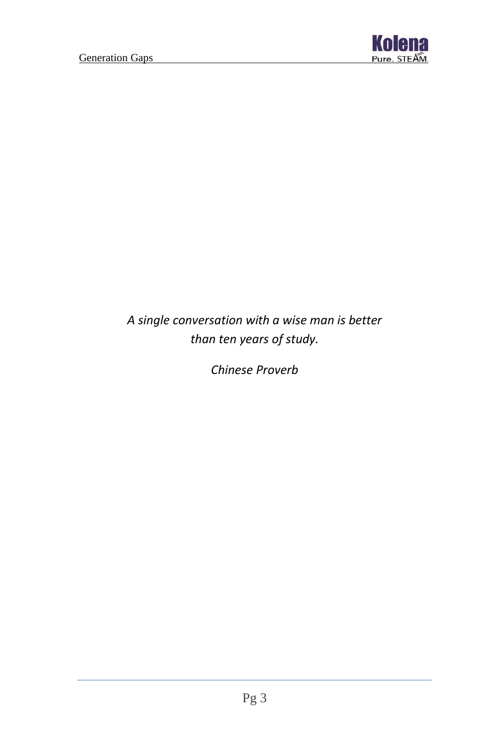

## *A single conversation with a wise man is better than ten years of study.*

*Chinese Proverb*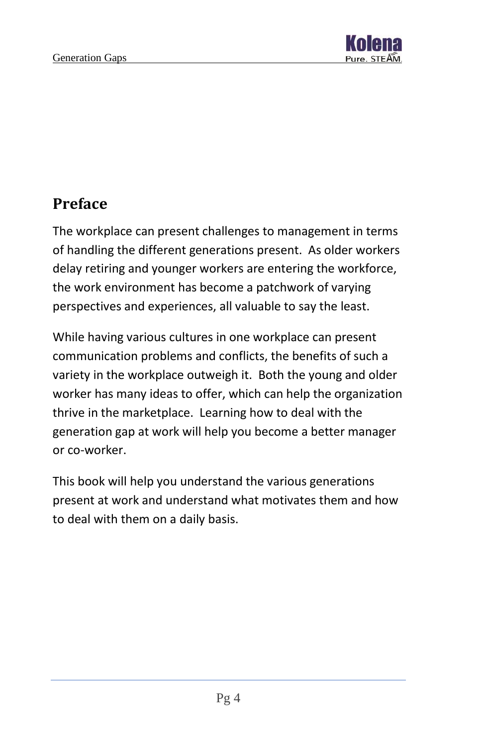

## <span id="page-4-0"></span>**Preface**

The workplace can present challenges to management in terms of handling the different generations present. As older workers delay retiring and younger workers are entering the workforce, the work environment has become a patchwork of varying perspectives and experiences, all valuable to say the least.

While having various cultures in one workplace can present communication problems and conflicts, the benefits of such a variety in the workplace outweigh it. Both the young and older worker has many ideas to offer, which can help the organization thrive in the marketplace. Learning how to deal with the generation gap at work will help you become a better manager or co-worker.

This book will help you understand the various generations present at work and understand what motivates them and how to deal with them on a daily basis.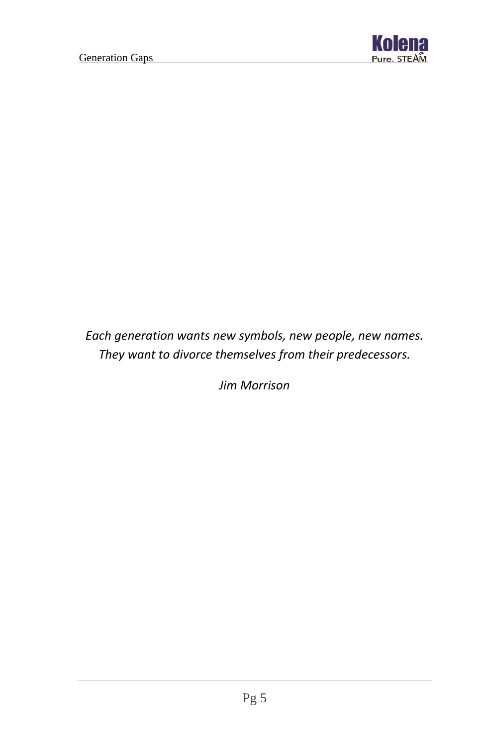

## *Each generation wants new symbols, new people, new names. They want to divorce themselves from their predecessors.*

*Jim Morrison*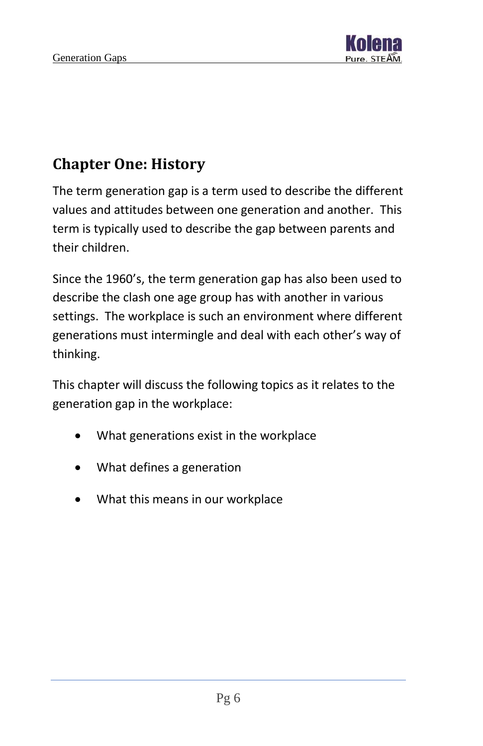

# <span id="page-6-0"></span>**Chapter One: History**

The term generation gap is a term used to describe the different values and attitudes between one generation and another. This term is typically used to describe the gap between parents and their children.

Since the 1960's, the term generation gap has also been used to describe the clash one age group has with another in various settings. The workplace is such an environment where different generations must intermingle and deal with each other's way of thinking.

This chapter will discuss the following topics as it relates to the generation gap in the workplace:

- What generations exist in the workplace
- What defines a generation
- What this means in our workplace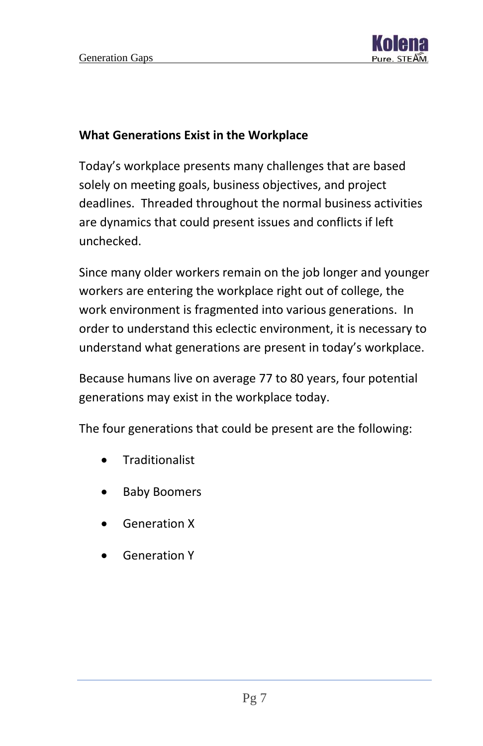

#### **What Generations Exist in the Workplace**

Today's workplace presents many challenges that are based solely on meeting goals, business objectives, and project deadlines. Threaded throughout the normal business activities are dynamics that could present issues and conflicts if left unchecked.

Since many older workers remain on the job longer and younger workers are entering the workplace right out of college, the work environment is fragmented into various generations. In order to understand this eclectic environment, it is necessary to understand what generations are present in today's workplace.

Because humans live on average 77 to 80 years, four potential generations may exist in the workplace today.

The four generations that could be present are the following:

- **Traditionalist**
- Baby Boomers
- Generation X
- Generation Y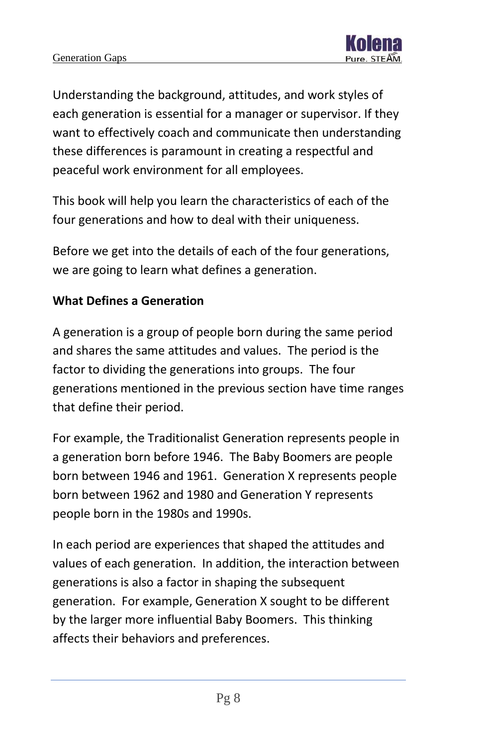Understanding the background, attitudes, and work styles of each generation is essential for a manager or supervisor. If they want to effectively coach and communicate then understanding these differences is paramount in creating a respectful and peaceful work environment for all employees.

This book will help you learn the characteristics of each of the four generations and how to deal with their uniqueness.

Before we get into the details of each of the four generations, we are going to learn what defines a generation.

#### **What Defines a Generation**

A generation is a group of people born during the same period and shares the same attitudes and values. The period is the factor to dividing the generations into groups. The four generations mentioned in the previous section have time ranges that define their period.

For example, the Traditionalist Generation represents people in a generation born before 1946. The Baby Boomers are people born between 1946 and 1961. Generation X represents people born between 1962 and 1980 and Generation Y represents people born in the 1980s and 1990s.

In each period are experiences that shaped the attitudes and values of each generation. In addition, the interaction between generations is also a factor in shaping the subsequent generation. For example, Generation X sought to be different by the larger more influential Baby Boomers. This thinking affects their behaviors and preferences.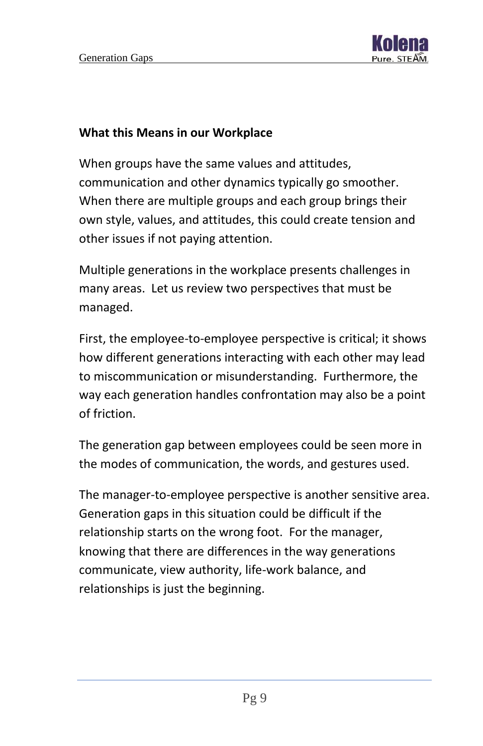

#### **What this Means in our Workplace**

When groups have the same values and attitudes, communication and other dynamics typically go smoother. When there are multiple groups and each group brings their own style, values, and attitudes, this could create tension and other issues if not paying attention.

Multiple generations in the workplace presents challenges in many areas. Let us review two perspectives that must be managed.

First, the employee-to-employee perspective is critical; it shows how different generations interacting with each other may lead to miscommunication or misunderstanding. Furthermore, the way each generation handles confrontation may also be a point of friction.

The generation gap between employees could be seen more in the modes of communication, the words, and gestures used.

The manager-to-employee perspective is another sensitive area. Generation gaps in this situation could be difficult if the relationship starts on the wrong foot. For the manager, knowing that there are differences in the way generations communicate, view authority, life-work balance, and relationships is just the beginning.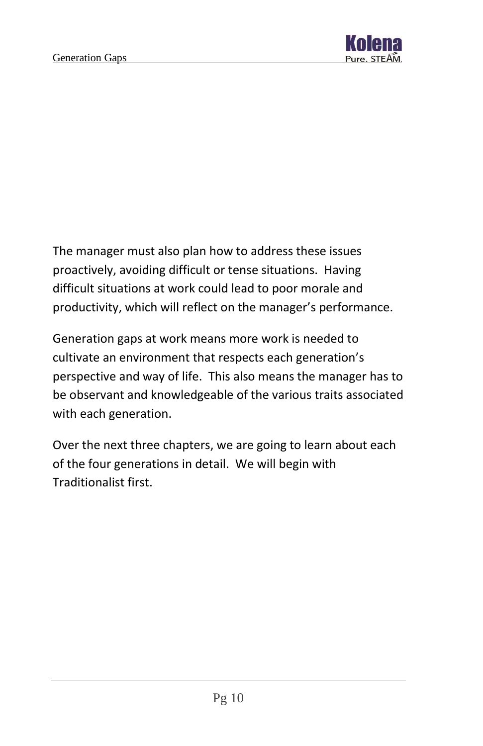

The manager must also plan how to address these issues proactively, avoiding difficult or tense situations. Having difficult situations at work could lead to poor morale and productivity, which will reflect on the manager's performance.

Generation gaps at work means more work is needed to cultivate an environment that respects each generation's perspective and way of life. This also means the manager has to be observant and knowledgeable of the various traits associated with each generation.

Over the next three chapters, we are going to learn about each of the four generations in detail. We will begin with Traditionalist first.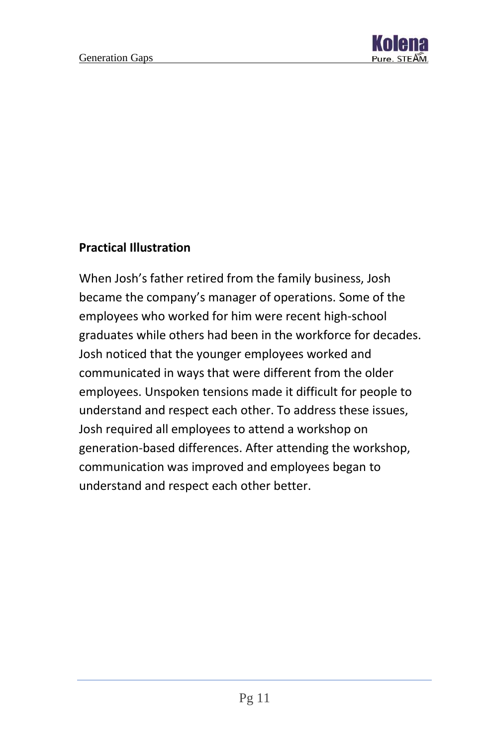

#### **Practical Illustration**

When Josh's father retired from the family business, Josh became the company's manager of operations. Some of the employees who worked for him were recent high-school graduates while others had been in the workforce for decades. Josh noticed that the younger employees worked and communicated in ways that were different from the older employees. Unspoken tensions made it difficult for people to understand and respect each other. To address these issues, Josh required all employees to attend a workshop on generation-based differences. After attending the workshop, communication was improved and employees began to understand and respect each other better.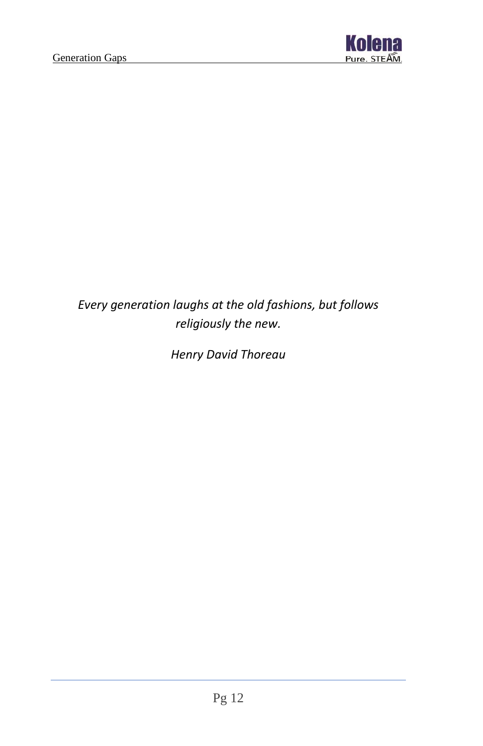

## *Every generation laughs at the old fashions, but follows religiously the new.*

*Henry David Thoreau*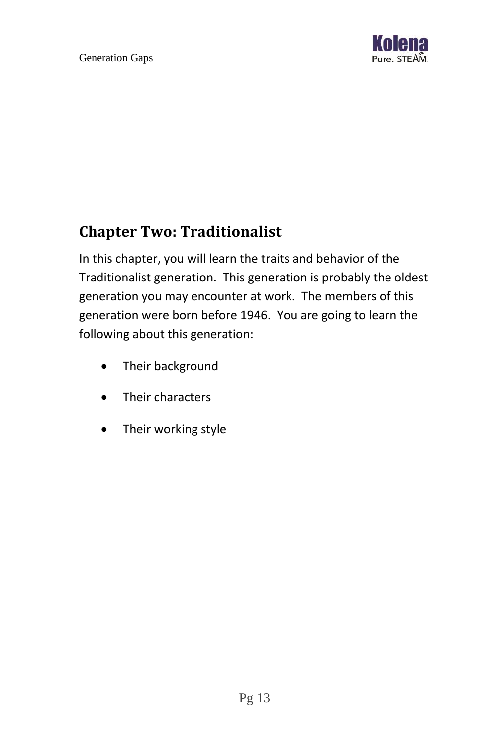

# <span id="page-13-0"></span>**Chapter Two: Traditionalist**

In this chapter, you will learn the traits and behavior of the Traditionalist generation. This generation is probably the oldest generation you may encounter at work. The members of this generation were born before 1946. You are going to learn the following about this generation:

- Their background
- Their characters
- Their working style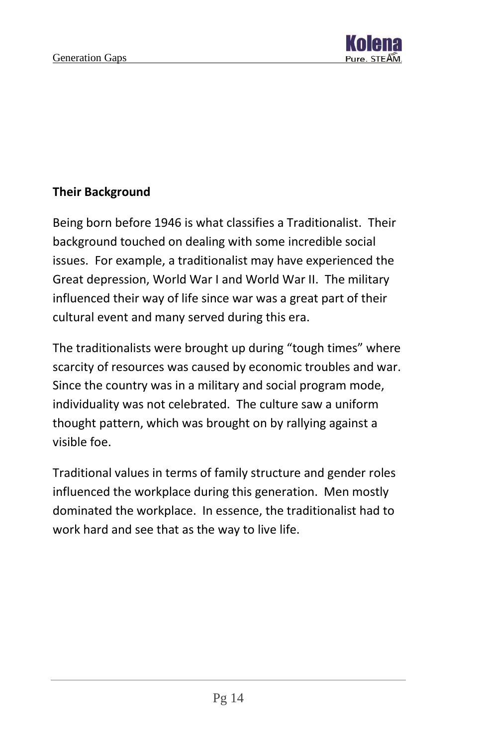

#### **Their Background**

Being born before 1946 is what classifies a Traditionalist. Their background touched on dealing with some incredible social issues. For example, a traditionalist may have experienced the Great depression, World War I and World War II. The military influenced their way of life since war was a great part of their cultural event and many served during this era.

The traditionalists were brought up during "tough times" where scarcity of resources was caused by economic troubles and war. Since the country was in a military and social program mode, individuality was not celebrated. The culture saw a uniform thought pattern, which was brought on by rallying against a visible foe.

Traditional values in terms of family structure and gender roles influenced the workplace during this generation. Men mostly dominated the workplace. In essence, the traditionalist had to work hard and see that as the way to live life.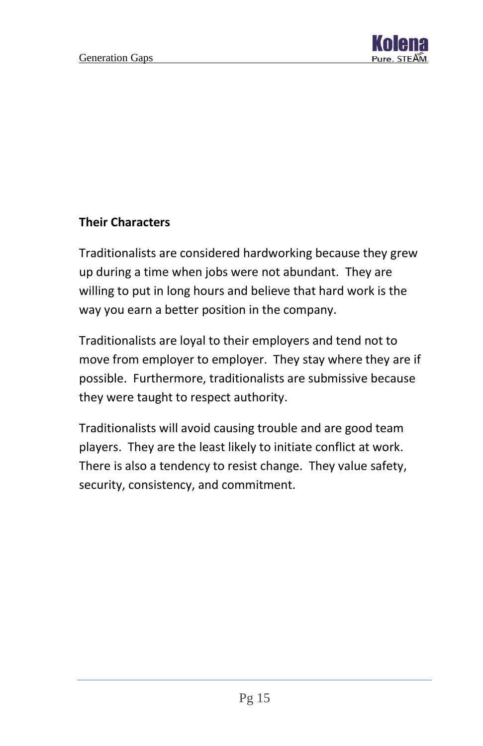

#### **Their Characters**

Traditionalists are considered hardworking because they grew up during a time when jobs were not abundant. They are willing to put in long hours and believe that hard work is the way you earn a better position in the company.

Traditionalists are loyal to their employers and tend not to move from employer to employer. They stay where they are if possible. Furthermore, traditionalists are submissive because they were taught to respect authority.

Traditionalists will avoid causing trouble and are good team players. They are the least likely to initiate conflict at work. There is also a tendency to resist change. They value safety, security, consistency, and commitment.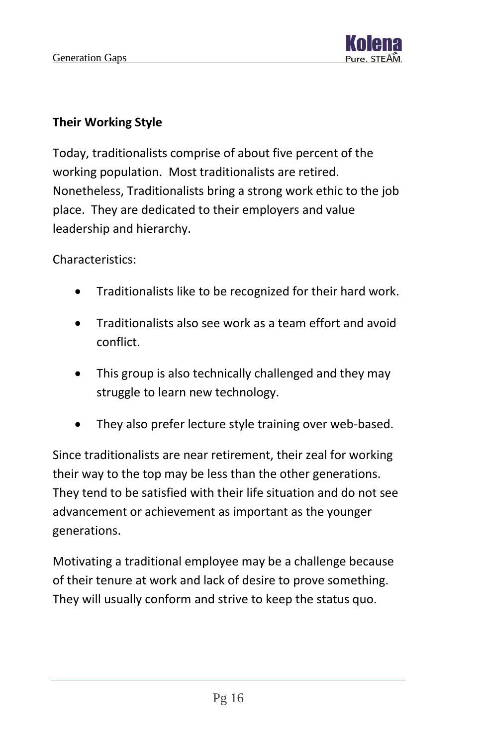

#### **Their Working Style**

Today, traditionalists comprise of about five percent of the working population. Most traditionalists are retired. Nonetheless, Traditionalists bring a strong work ethic to the job place. They are dedicated to their employers and value leadership and hierarchy.

Characteristics:

- Traditionalists like to be recognized for their hard work.
- Traditionalists also see work as a team effort and avoid conflict.
- This group is also technically challenged and they may struggle to learn new technology.
- They also prefer lecture style training over web-based.

Since traditionalists are near retirement, their zeal for working their way to the top may be less than the other generations. They tend to be satisfied with their life situation and do not see advancement or achievement as important as the younger generations.

Motivating a traditional employee may be a challenge because of their tenure at work and lack of desire to prove something. They will usually conform and strive to keep the status quo.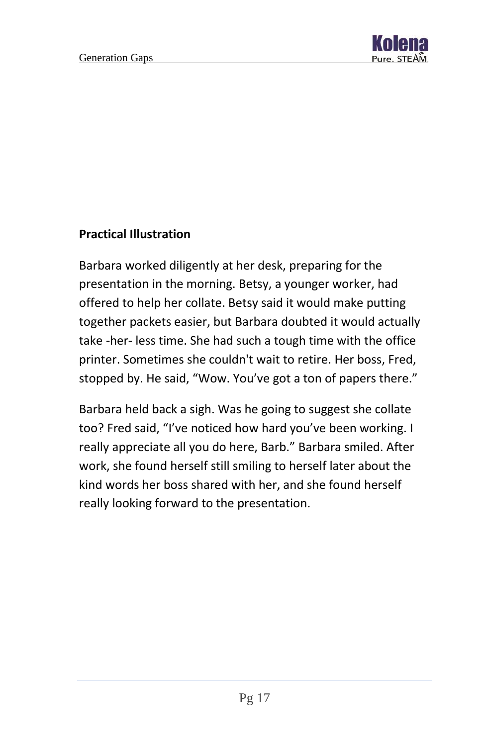

#### **Practical Illustration**

Barbara worked diligently at her desk, preparing for the presentation in the morning. Betsy, a younger worker, had offered to help her collate. Betsy said it would make putting together packets easier, but Barbara doubted it would actually take -her- less time. She had such a tough time with the office printer. Sometimes she couldn't wait to retire. Her boss, Fred, stopped by. He said, "Wow. You've got a ton of papers there."

Barbara held back a sigh. Was he going to suggest she collate too? Fred said, "I've noticed how hard you've been working. I really appreciate all you do here, Barb." Barbara smiled. After work, she found herself still smiling to herself later about the kind words her boss shared with her, and she found herself really looking forward to the presentation.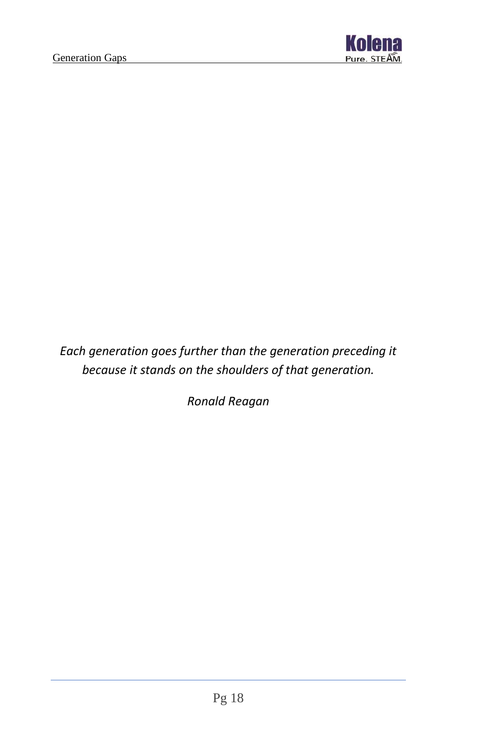

*Each generation goes further than the generation preceding it because it stands on the shoulders of that generation.*

*Ronald Reagan*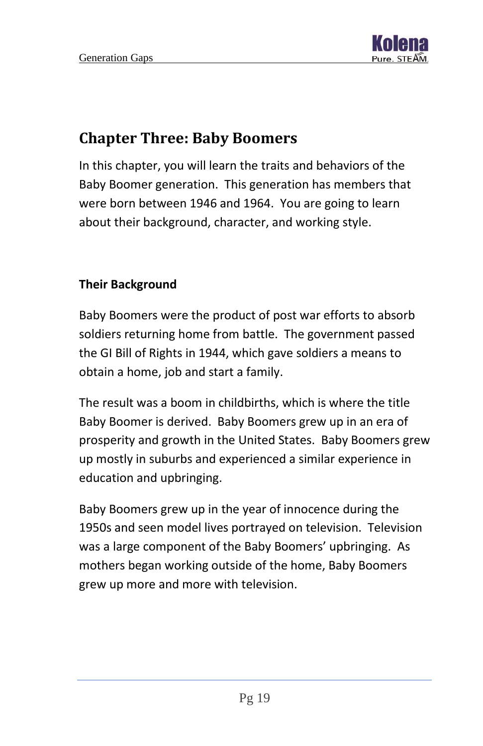

## <span id="page-19-0"></span>**Chapter Three: Baby Boomers**

In this chapter, you will learn the traits and behaviors of the Baby Boomer generation. This generation has members that were born between 1946 and 1964. You are going to learn about their background, character, and working style.

#### **Their Background**

Baby Boomers were the product of post war efforts to absorb soldiers returning home from battle. The government passed the GI Bill of Rights in 1944, which gave soldiers a means to obtain a home, job and start a family.

The result was a boom in childbirths, which is where the title Baby Boomer is derived. Baby Boomers grew up in an era of prosperity and growth in the United States. Baby Boomers grew up mostly in suburbs and experienced a similar experience in education and upbringing.

Baby Boomers grew up in the year of innocence during the 1950s and seen model lives portrayed on television. Television was a large component of the Baby Boomers' upbringing. As mothers began working outside of the home, Baby Boomers grew up more and more with television.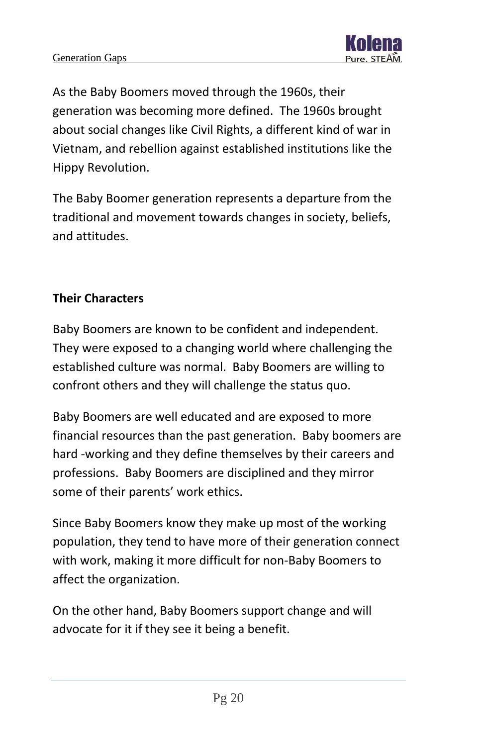

As the Baby Boomers moved through the 1960s, their generation was becoming more defined. The 1960s brought about social changes like Civil Rights, a different kind of war in Vietnam, and rebellion against established institutions like the Hippy Revolution.

The Baby Boomer generation represents a departure from the traditional and movement towards changes in society, beliefs, and attitudes.

#### **Their Characters**

Baby Boomers are known to be confident and independent. They were exposed to a changing world where challenging the established culture was normal. Baby Boomers are willing to confront others and they will challenge the status quo.

Baby Boomers are well educated and are exposed to more financial resources than the past generation. Baby boomers are hard -working and they define themselves by their careers and professions. Baby Boomers are disciplined and they mirror some of their parents' work ethics.

Since Baby Boomers know they make up most of the working population, they tend to have more of their generation connect with work, making it more difficult for non-Baby Boomers to affect the organization.

On the other hand, Baby Boomers support change and will advocate for it if they see it being a benefit.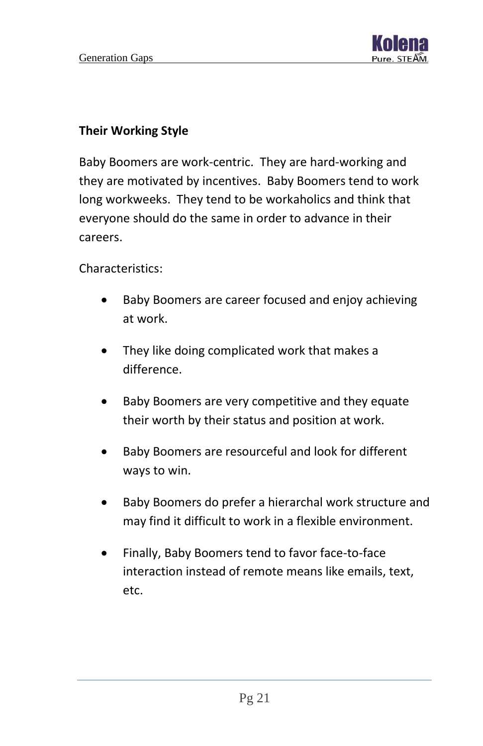

#### **Their Working Style**

Baby Boomers are work-centric. They are hard-working and they are motivated by incentives. Baby Boomers tend to work long workweeks. They tend to be workaholics and think that everyone should do the same in order to advance in their careers.

Characteristics:

- Baby Boomers are career focused and enjoy achieving at work.
- They like doing complicated work that makes a difference.
- Baby Boomers are very competitive and they equate their worth by their status and position at work.
- Baby Boomers are resourceful and look for different ways to win.
- Baby Boomers do prefer a hierarchal work structure and may find it difficult to work in a flexible environment.
- Finally, Baby Boomers tend to favor face-to-face interaction instead of remote means like emails, text, etc.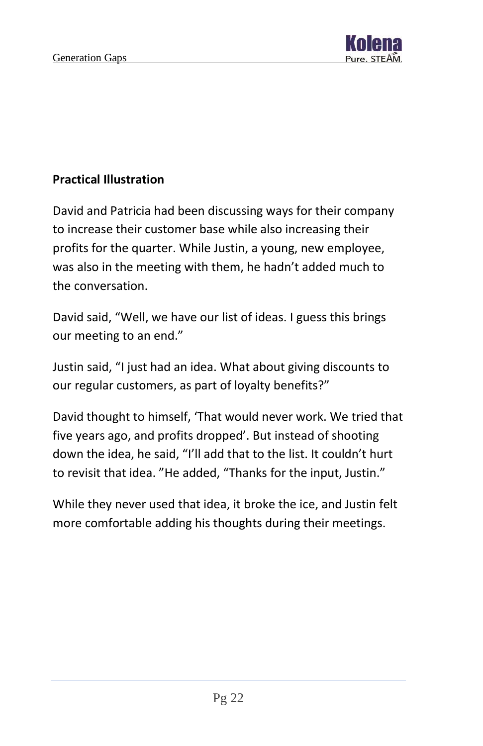

#### **Practical Illustration**

David and Patricia had been discussing ways for their company to increase their customer base while also increasing their profits for the quarter. While Justin, a young, new employee, was also in the meeting with them, he hadn't added much to the conversation.

David said, "Well, we have our list of ideas. I guess this brings our meeting to an end."

Justin said, "I just had an idea. What about giving discounts to our regular customers, as part of loyalty benefits?"

David thought to himself, 'That would never work. We tried that five years ago, and profits dropped'. But instead of shooting down the idea, he said, "I'll add that to the list. It couldn't hurt to revisit that idea. "He added, "Thanks for the input, Justin."

While they never used that idea, it broke the ice, and Justin felt more comfortable adding his thoughts during their meetings.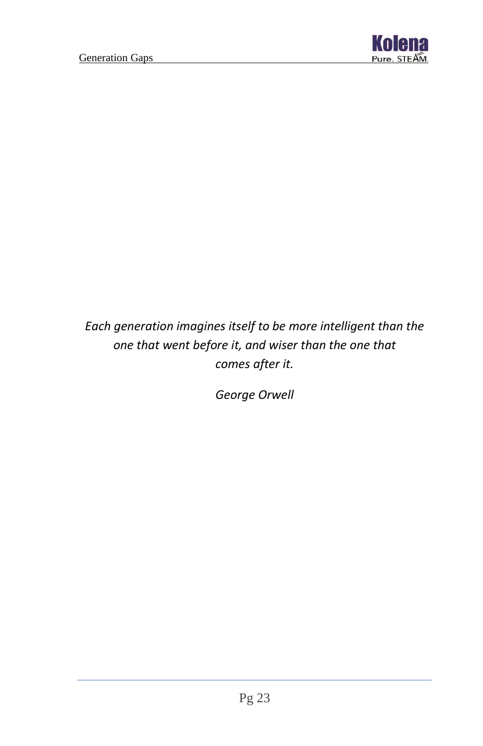

## *Each generation imagines itself to be more intelligent than the one that went before it, and wiser than the one that comes after it.*

*George Orwell*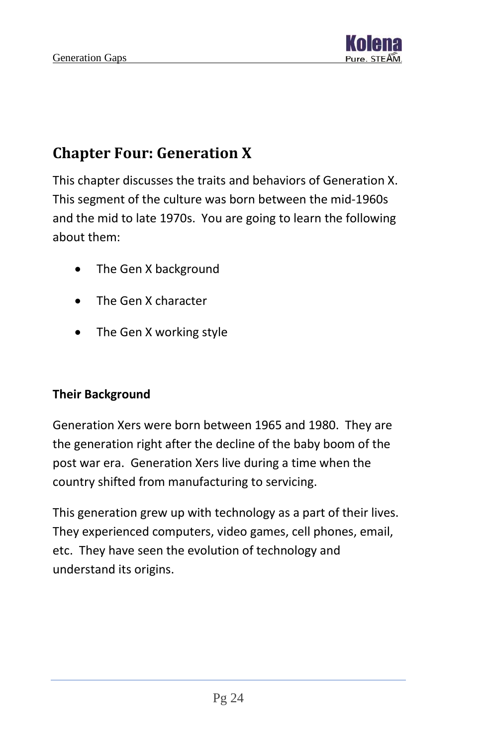

# <span id="page-24-0"></span>**Chapter Four: Generation X**

This chapter discusses the traits and behaviors of Generation X. This segment of the culture was born between the mid-1960s and the mid to late 1970s. You are going to learn the following about them:

- The Gen X background
- The Gen X character
- The Gen X working style

#### **Their Background**

Generation Xers were born between 1965 and 1980. They are the generation right after the decline of the baby boom of the post war era. Generation Xers live during a time when the country shifted from manufacturing to servicing.

This generation grew up with technology as a part of their lives. They experienced computers, video games, cell phones, email, etc. They have seen the evolution of technology and understand its origins.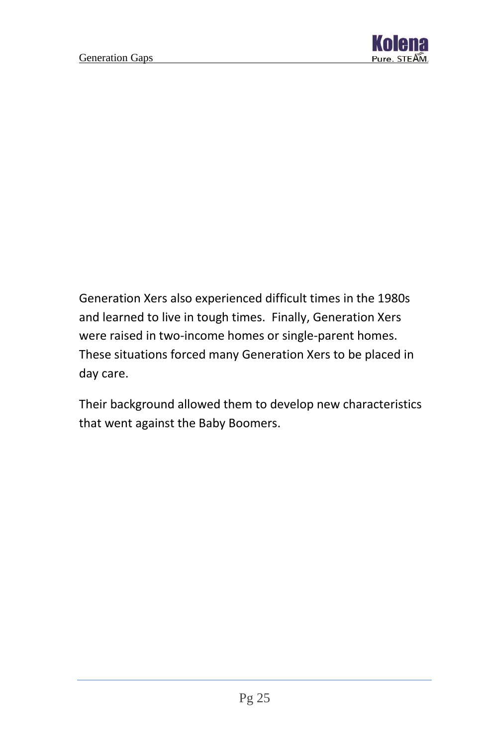

Generation Xers also experienced difficult times in the 1980s and learned to live in tough times. Finally, Generation Xers were raised in two-income homes or single-parent homes. These situations forced many Generation Xers to be placed in day care.

Their background allowed them to develop new characteristics that went against the Baby Boomers.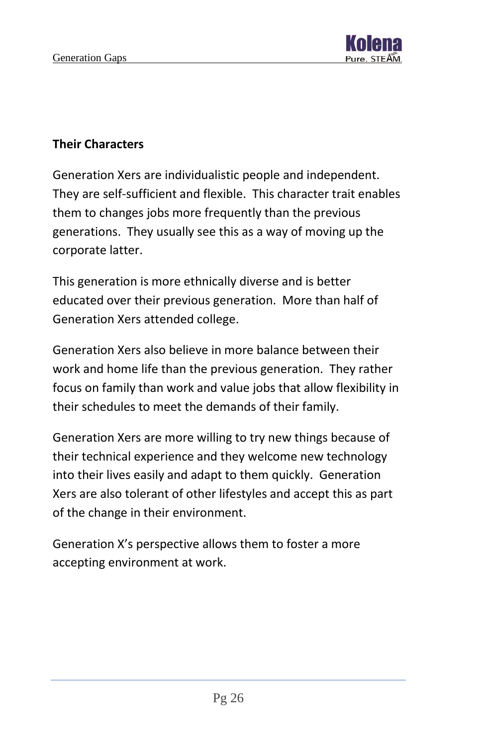

#### **Their Characters**

Generation Xers are individualistic people and independent. They are self-sufficient and flexible. This character trait enables them to changes jobs more frequently than the previous generations. They usually see this as a way of moving up the corporate latter.

This generation is more ethnically diverse and is better educated over their previous generation. More than half of Generation Xers attended college.

Generation Xers also believe in more balance between their work and home life than the previous generation. They rather focus on family than work and value jobs that allow flexibility in their schedules to meet the demands of their family.

Generation Xers are more willing to try new things because of their technical experience and they welcome new technology into their lives easily and adapt to them quickly. Generation Xers are also tolerant of other lifestyles and accept this as part of the change in their environment.

Generation X's perspective allows them to foster a more accepting environment at work.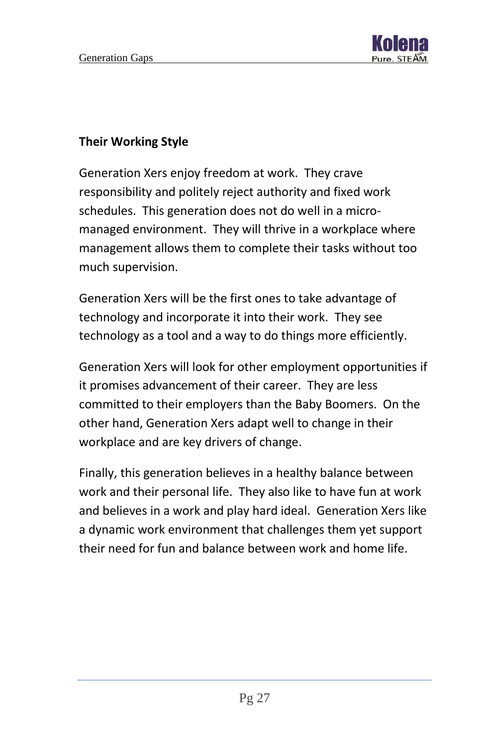

#### **Their Working Style**

Generation Xers enjoy freedom at work. They crave responsibility and politely reject authority and fixed work schedules. This generation does not do well in a micromanaged environment. They will thrive in a workplace where management allows them to complete their tasks without too much supervision.

Generation Xers will be the first ones to take advantage of technology and incorporate it into their work. They see technology as a tool and a way to do things more efficiently.

Generation Xers will look for other employment opportunities if it promises advancement of their career. They are less committed to their employers than the Baby Boomers. On the other hand, Generation Xers adapt well to change in their workplace and are key drivers of change.

Finally, this generation believes in a healthy balance between work and their personal life. They also like to have fun at work and believes in a work and play hard ideal. Generation Xers like a dynamic work environment that challenges them yet support their need for fun and balance between work and home life.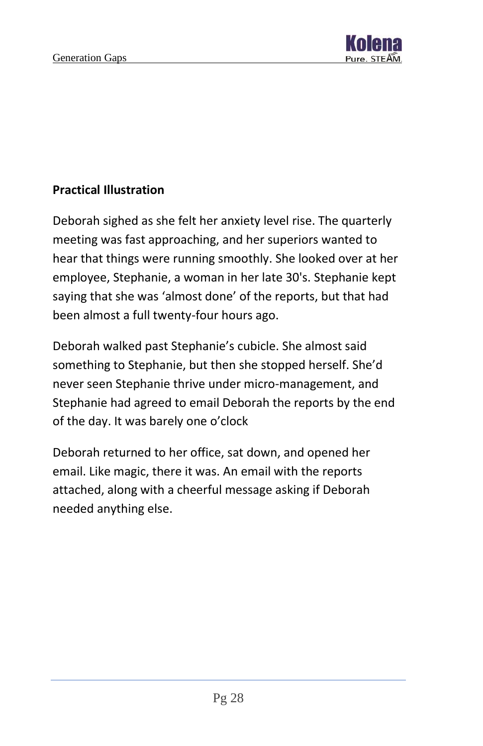

#### **Practical Illustration**

Deborah sighed as she felt her anxiety level rise. The quarterly meeting was fast approaching, and her superiors wanted to hear that things were running smoothly. She looked over at her employee, Stephanie, a woman in her late 30's. Stephanie kept saying that she was 'almost done' of the reports, but that had been almost a full twenty-four hours ago.

Deborah walked past Stephanie's cubicle. She almost said something to Stephanie, but then she stopped herself. She'd never seen Stephanie thrive under micro-management, and Stephanie had agreed to email Deborah the reports by the end of the day. It was barely one o'clock

Deborah returned to her office, sat down, and opened her email. Like magic, there it was. An email with the reports attached, along with a cheerful message asking if Deborah needed anything else.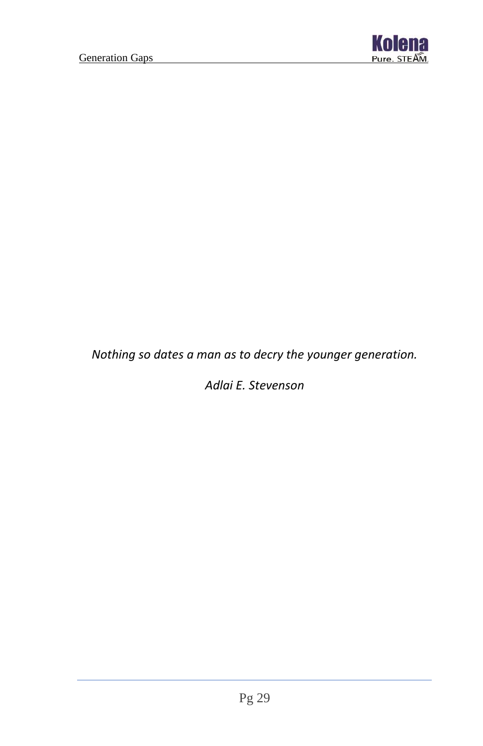

*Nothing so dates a man as to decry the younger generation.*

*Adlai E. Stevenson*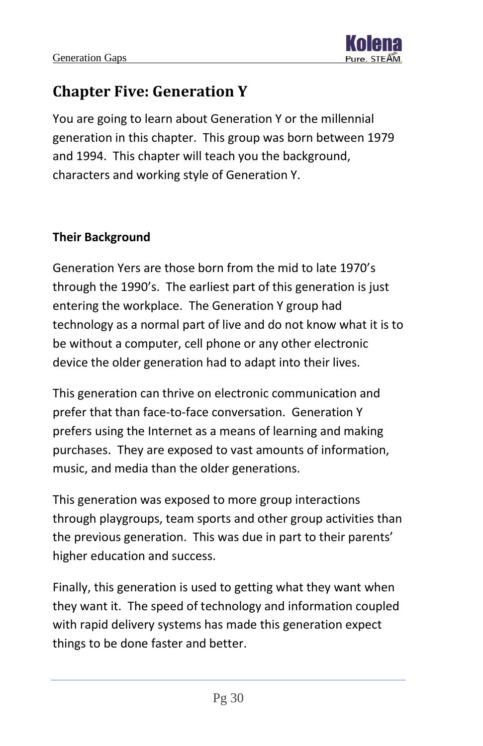

# <span id="page-30-0"></span>**Chapter Five: Generation Y**

You are going to learn about Generation Y or the millennial generation in this chapter. This group was born between 1979 and 1994. This chapter will teach you the background, characters and working style of Generation Y.

#### **Their Background**

Generation Yers are those born from the mid to late 1970's through the 1990's. The earliest part of this generation is just entering the workplace. The Generation Y group had technology as a normal part of live and do not know what it is to be without a computer, cell phone or any other electronic device the older generation had to adapt into their lives.

This generation can thrive on electronic communication and prefer that than face-to-face conversation. Generation Y prefers using the Internet as a means of learning and making purchases. They are exposed to vast amounts of information, music, and media than the older generations.

This generation was exposed to more group interactions through playgroups, team sports and other group activities than the previous generation. This was due in part to their parents' higher education and success.

Finally, this generation is used to getting what they want when they want it. The speed of technology and information coupled with rapid delivery systems has made this generation expect things to be done faster and better.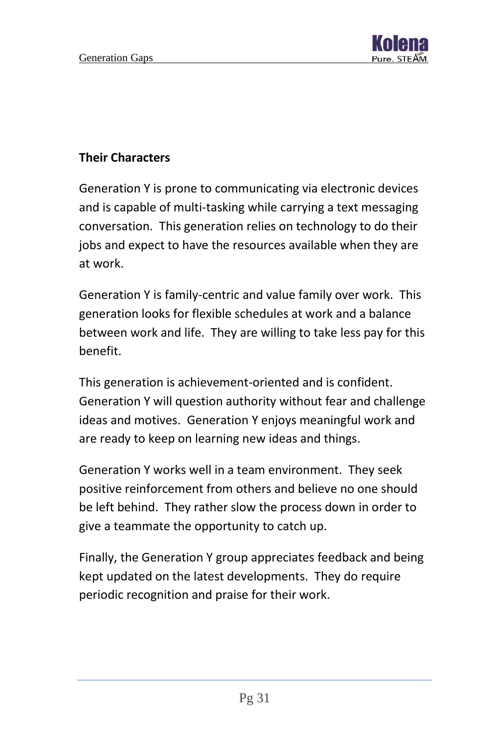

#### **Their Characters**

Generation Y is prone to communicating via electronic devices and is capable of multi-tasking while carrying a text messaging conversation. This generation relies on technology to do their jobs and expect to have the resources available when they are at work.

Generation Y is family-centric and value family over work. This generation looks for flexible schedules at work and a balance between work and life. They are willing to take less pay for this benefit.

This generation is achievement-oriented and is confident. Generation Y will question authority without fear and challenge ideas and motives. Generation Y enjoys meaningful work and are ready to keep on learning new ideas and things.

Generation Y works well in a team environment. They seek positive reinforcement from others and believe no one should be left behind. They rather slow the process down in order to give a teammate the opportunity to catch up.

Finally, the Generation Y group appreciates feedback and being kept updated on the latest developments. They do require periodic recognition and praise for their work.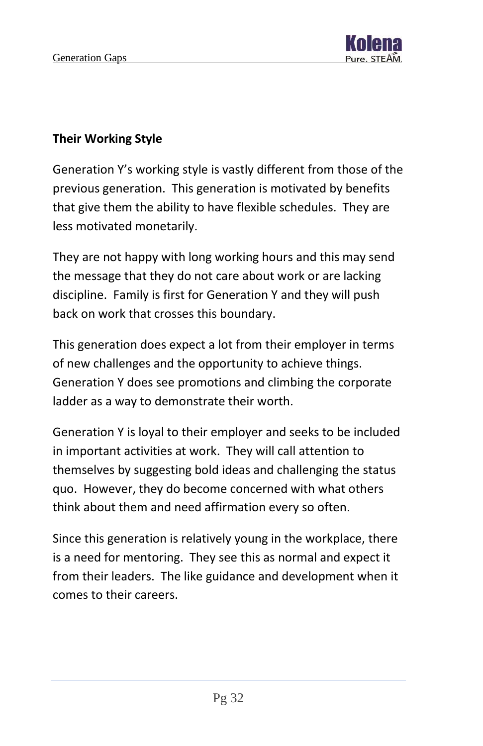

#### **Their Working Style**

Generation Y's working style is vastly different from those of the previous generation. This generation is motivated by benefits that give them the ability to have flexible schedules. They are less motivated monetarily.

They are not happy with long working hours and this may send the message that they do not care about work or are lacking discipline. Family is first for Generation Y and they will push back on work that crosses this boundary.

This generation does expect a lot from their employer in terms of new challenges and the opportunity to achieve things. Generation Y does see promotions and climbing the corporate ladder as a way to demonstrate their worth.

Generation Y is loyal to their employer and seeks to be included in important activities at work. They will call attention to themselves by suggesting bold ideas and challenging the status quo. However, they do become concerned with what others think about them and need affirmation every so often.

Since this generation is relatively young in the workplace, there is a need for mentoring. They see this as normal and expect it from their leaders. The like guidance and development when it comes to their careers.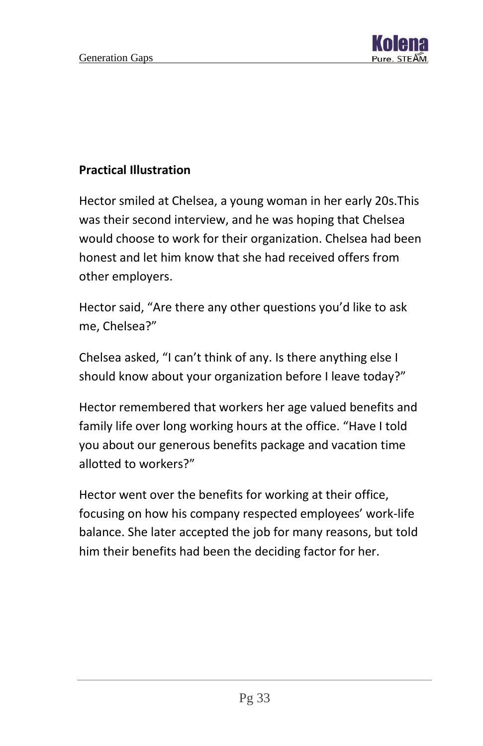

#### **Practical Illustration**

Hector smiled at Chelsea, a young woman in her early 20s.This was their second interview, and he was hoping that Chelsea would choose to work for their organization. Chelsea had been honest and let him know that she had received offers from other employers.

Hector said, "Are there any other questions you'd like to ask me, Chelsea?"

Chelsea asked, "I can't think of any. Is there anything else I should know about your organization before I leave today?"

Hector remembered that workers her age valued benefits and family life over long working hours at the office. "Have I told you about our generous benefits package and vacation time allotted to workers?"

Hector went over the benefits for working at their office, focusing on how his company respected employees' work-life balance. She later accepted the job for many reasons, but told him their benefits had been the deciding factor for her.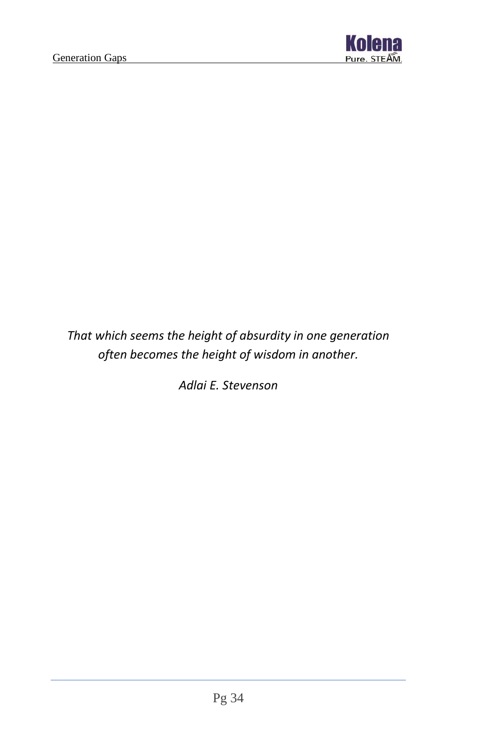

*That which seems the height of absurdity in one generation often becomes the height of wisdom in another.*

*Adlai E. Stevenson*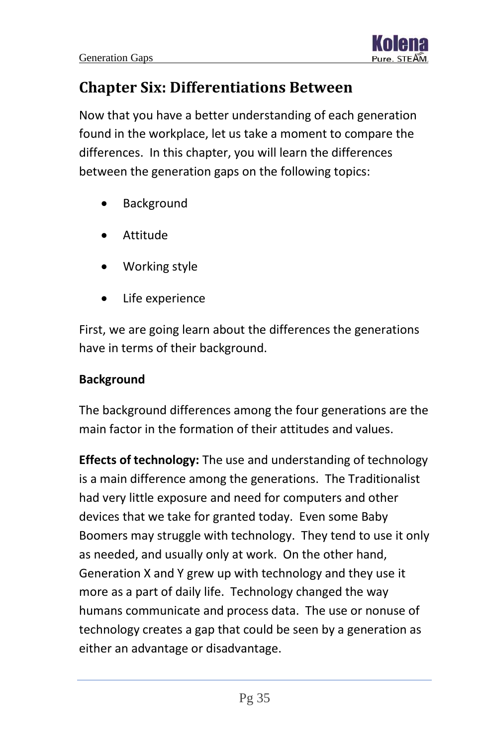

# <span id="page-35-0"></span>**Chapter Six: Differentiations Between**

Now that you have a better understanding of each generation found in the workplace, let us take a moment to compare the differences. In this chapter, you will learn the differences between the generation gaps on the following topics:

- **Background**
- Attitude
- Working style
- Life experience

First, we are going learn about the differences the generations have in terms of their background.

#### **Background**

The background differences among the four generations are the main factor in the formation of their attitudes and values.

**Effects of technology:** The use and understanding of technology is a main difference among the generations. The Traditionalist had very little exposure and need for computers and other devices that we take for granted today. Even some Baby Boomers may struggle with technology. They tend to use it only as needed, and usually only at work. On the other hand, Generation X and Y grew up with technology and they use it more as a part of daily life. Technology changed the way humans communicate and process data. The use or nonuse of technology creates a gap that could be seen by a generation as either an advantage or disadvantage.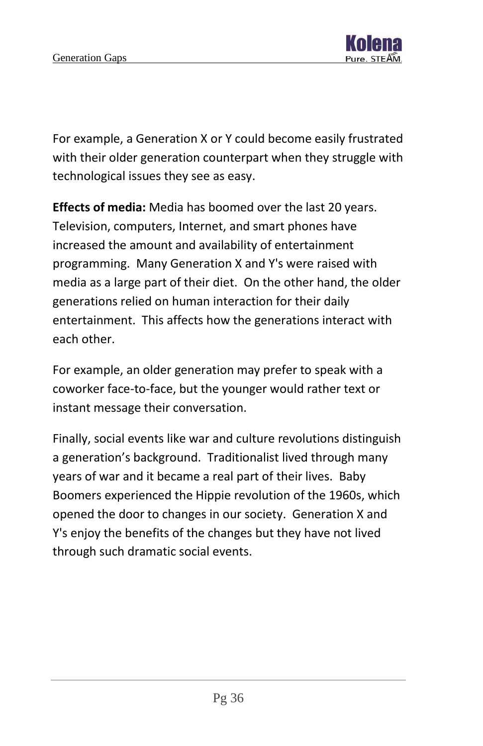

For example, a Generation X or Y could become easily frustrated with their older generation counterpart when they struggle with technological issues they see as easy.

**Effects of media:** Media has boomed over the last 20 years. Television, computers, Internet, and smart phones have increased the amount and availability of entertainment programming. Many Generation X and Y's were raised with media as a large part of their diet. On the other hand, the older generations relied on human interaction for their daily entertainment. This affects how the generations interact with each other.

For example, an older generation may prefer to speak with a coworker face-to-face, but the younger would rather text or instant message their conversation.

Finally, social events like war and culture revolutions distinguish a generation's background. Traditionalist lived through many years of war and it became a real part of their lives. Baby Boomers experienced the Hippie revolution of the 1960s, which opened the door to changes in our society. Generation X and Y's enjoy the benefits of the changes but they have not lived through such dramatic social events.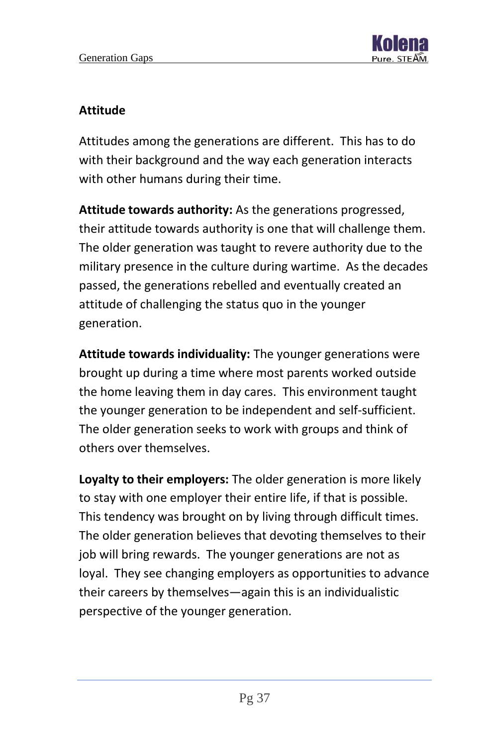#### **Attitude**

Attitudes among the generations are different. This has to do with their background and the way each generation interacts with other humans during their time.

**Attitude towards authority:** As the generations progressed, their attitude towards authority is one that will challenge them. The older generation was taught to revere authority due to the military presence in the culture during wartime. As the decades passed, the generations rebelled and eventually created an attitude of challenging the status quo in the younger generation.

**Attitude towards individuality:** The younger generations were brought up during a time where most parents worked outside the home leaving them in day cares. This environment taught the younger generation to be independent and self-sufficient. The older generation seeks to work with groups and think of others over themselves.

**Loyalty to their employers:** The older generation is more likely to stay with one employer their entire life, if that is possible. This tendency was brought on by living through difficult times. The older generation believes that devoting themselves to their job will bring rewards. The younger generations are not as loyal. They see changing employers as opportunities to advance their careers by themselves—again this is an individualistic perspective of the younger generation.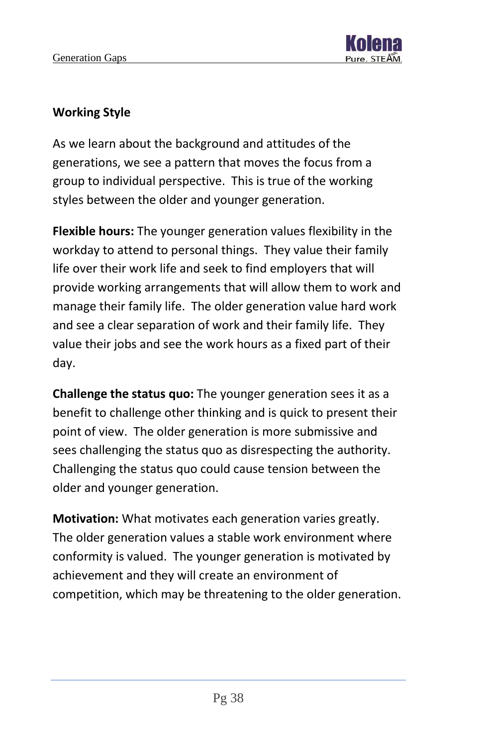

#### **Working Style**

As we learn about the background and attitudes of the generations, we see a pattern that moves the focus from a group to individual perspective. This is true of the working styles between the older and younger generation.

**Flexible hours:** The younger generation values flexibility in the workday to attend to personal things. They value their family life over their work life and seek to find employers that will provide working arrangements that will allow them to work and manage their family life. The older generation value hard work and see a clear separation of work and their family life. They value their jobs and see the work hours as a fixed part of their day.

**Challenge the status quo:** The younger generation sees it as a benefit to challenge other thinking and is quick to present their point of view. The older generation is more submissive and sees challenging the status quo as disrespecting the authority. Challenging the status quo could cause tension between the older and younger generation.

**Motivation:** What motivates each generation varies greatly. The older generation values a stable work environment where conformity is valued. The younger generation is motivated by achievement and they will create an environment of competition, which may be threatening to the older generation.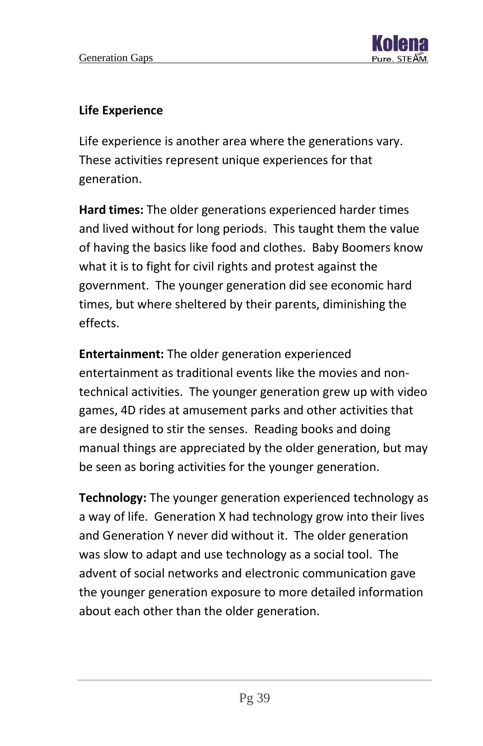

#### **Life Experience**

Life experience is another area where the generations vary. These activities represent unique experiences for that generation.

**Hard times:** The older generations experienced harder times and lived without for long periods. This taught them the value of having the basics like food and clothes. Baby Boomers know what it is to fight for civil rights and protest against the government. The younger generation did see economic hard times, but where sheltered by their parents, diminishing the effects.

**Entertainment:** The older generation experienced entertainment as traditional events like the movies and nontechnical activities. The younger generation grew up with video games, 4D rides at amusement parks and other activities that are designed to stir the senses. Reading books and doing manual things are appreciated by the older generation, but may be seen as boring activities for the younger generation.

**Technology:** The younger generation experienced technology as a way of life. Generation X had technology grow into their lives and Generation Y never did without it. The older generation was slow to adapt and use technology as a social tool. The advent of social networks and electronic communication gave the younger generation exposure to more detailed information about each other than the older generation.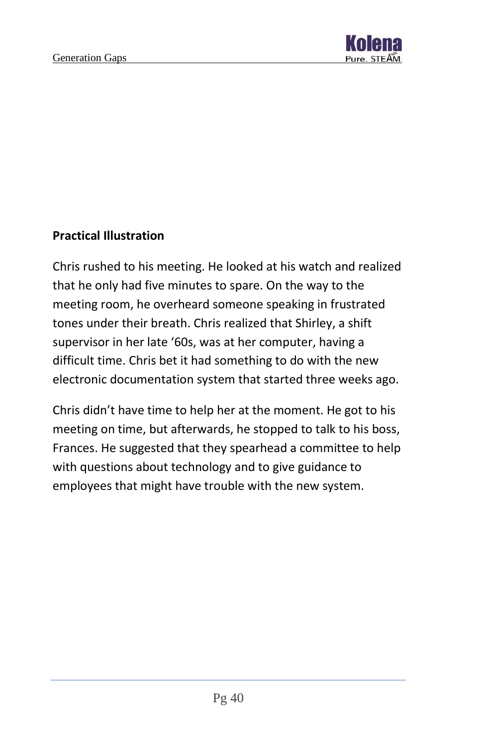

#### **Practical Illustration**

Chris rushed to his meeting. He looked at his watch and realized that he only had five minutes to spare. On the way to the meeting room, he overheard someone speaking in frustrated tones under their breath. Chris realized that Shirley, a shift supervisor in her late '60s, was at her computer, having a difficult time. Chris bet it had something to do with the new electronic documentation system that started three weeks ago.

Chris didn't have time to help her at the moment. He got to his meeting on time, but afterwards, he stopped to talk to his boss, Frances. He suggested that they spearhead a committee to help with questions about technology and to give guidance to employees that might have trouble with the new system.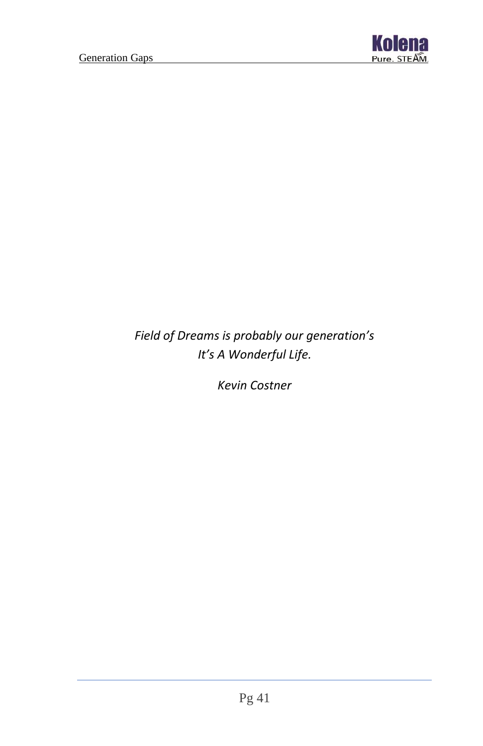

*Field of Dreams is probably our generation's It's A Wonderful Life.*

*Kevin Costner*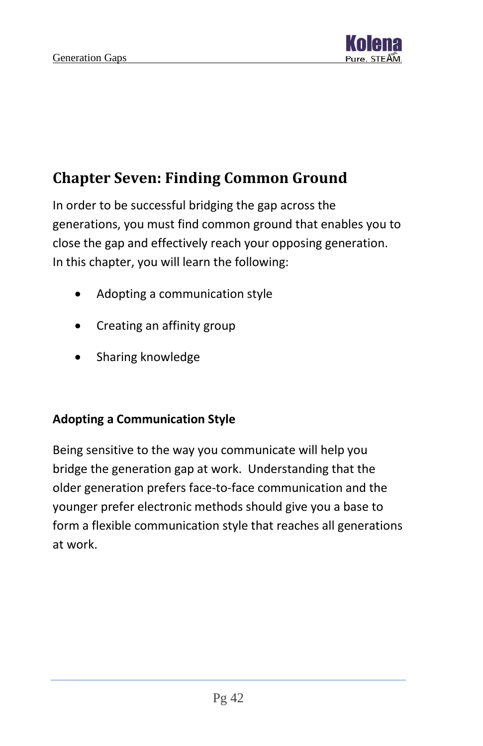

# <span id="page-42-0"></span>**Chapter Seven: Finding Common Ground**

In order to be successful bridging the gap across the generations, you must find common ground that enables you to close the gap and effectively reach your opposing generation. In this chapter, you will learn the following:

- Adopting a communication style
- Creating an affinity group
- Sharing knowledge

#### **Adopting a Communication Style**

Being sensitive to the way you communicate will help you bridge the generation gap at work. Understanding that the older generation prefers face-to-face communication and the younger prefer electronic methods should give you a base to form a flexible communication style that reaches all generations at work.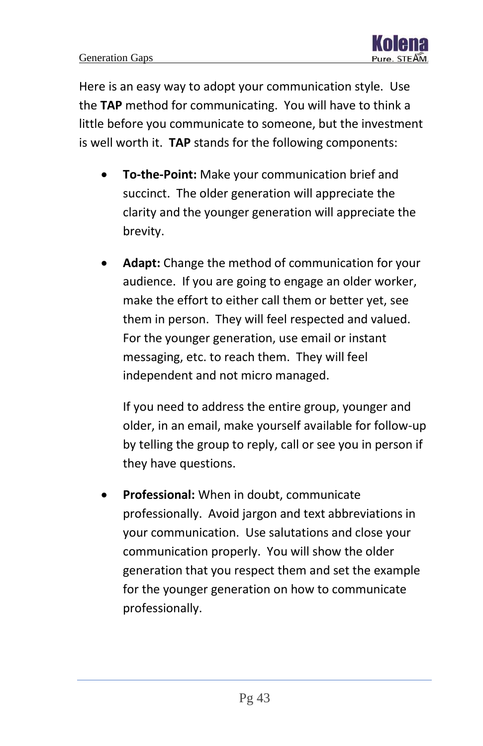Here is an easy way to adopt your communication style. Use the **TAP** method for communicating. You will have to think a little before you communicate to someone, but the investment is well worth it. **TAP** stands for the following components:

- **To-the-Point:** Make your communication brief and succinct. The older generation will appreciate the clarity and the younger generation will appreciate the brevity.
- **Adapt:** Change the method of communication for your audience. If you are going to engage an older worker, make the effort to either call them or better yet, see them in person. They will feel respected and valued. For the younger generation, use email or instant messaging, etc. to reach them. They will feel independent and not micro managed.

If you need to address the entire group, younger and older, in an email, make yourself available for follow-up by telling the group to reply, call or see you in person if they have questions.

• **Professional:** When in doubt, communicate professionally. Avoid jargon and text abbreviations in your communication. Use salutations and close your communication properly. You will show the older generation that you respect them and set the example for the younger generation on how to communicate professionally.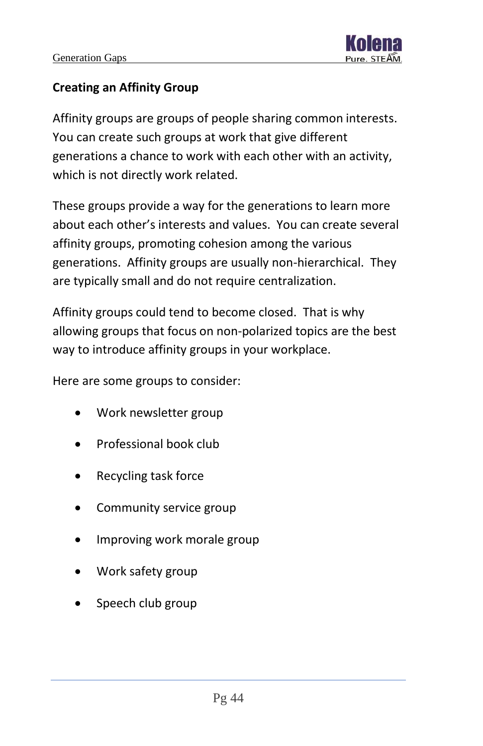

#### **Creating an Affinity Group**

Affinity groups are groups of people sharing common interests. You can create such groups at work that give different generations a chance to work with each other with an activity, which is not directly work related.

These groups provide a way for the generations to learn more about each other's interests and values. You can create several affinity groups, promoting cohesion among the various generations. Affinity groups are usually non-hierarchical. They are typically small and do not require centralization.

Affinity groups could tend to become closed. That is why allowing groups that focus on non-polarized topics are the best way to introduce affinity groups in your workplace.

Here are some groups to consider:

- Work newsletter group
- Professional book club
- Recycling task force
- Community service group
- Improving work morale group
- Work safety group
- Speech club group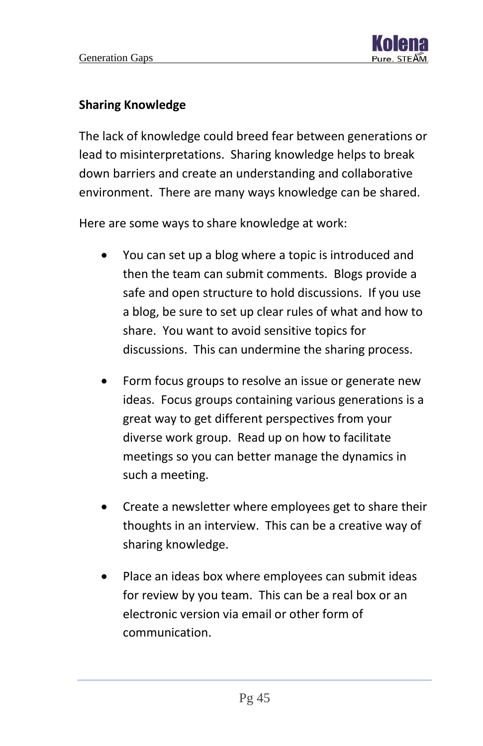#### **Sharing Knowledge**

The lack of knowledge could breed fear between generations or lead to misinterpretations. Sharing knowledge helps to break down barriers and create an understanding and collaborative environment. There are many ways knowledge can be shared.

Here are some ways to share knowledge at work:

- You can set up a blog where a topic is introduced and then the team can submit comments. Blogs provide a safe and open structure to hold discussions. If you use a blog, be sure to set up clear rules of what and how to share. You want to avoid sensitive topics for discussions. This can undermine the sharing process.
- Form focus groups to resolve an issue or generate new ideas. Focus groups containing various generations is a great way to get different perspectives from your diverse work group. Read up on how to facilitate meetings so you can better manage the dynamics in such a meeting.
- Create a newsletter where employees get to share their thoughts in an interview. This can be a creative way of sharing knowledge.
- Place an ideas box where employees can submit ideas for review by you team. This can be a real box or an electronic version via email or other form of communication.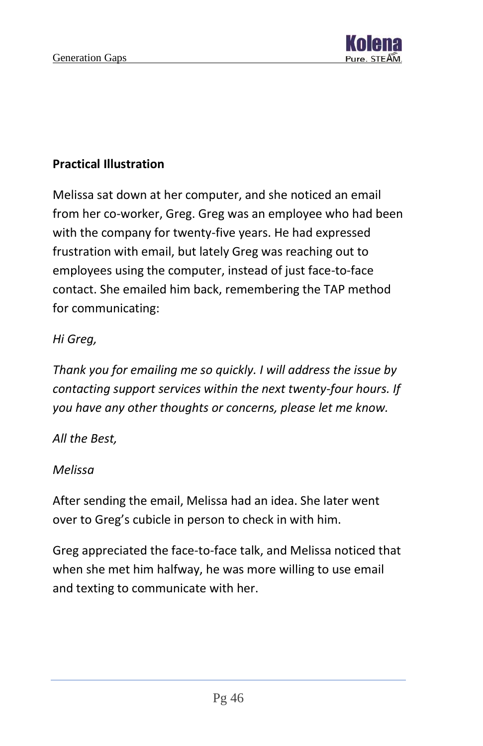

#### **Practical Illustration**

Melissa sat down at her computer, and she noticed an email from her co-worker, Greg. Greg was an employee who had been with the company for twenty-five years. He had expressed frustration with email, but lately Greg was reaching out to employees using the computer, instead of just face-to-face contact. She emailed him back, remembering the TAP method for communicating:

#### *Hi Greg,*

*Thank you for emailing me so quickly. I will address the issue by contacting support services within the next twenty-four hours. If you have any other thoughts or concerns, please let me know.*

#### *All the Best,*

#### *Melissa*

After sending the email, Melissa had an idea. She later went over to Greg's cubicle in person to check in with him.

Greg appreciated the face-to-face talk, and Melissa noticed that when she met him halfway, he was more willing to use email and texting to communicate with her.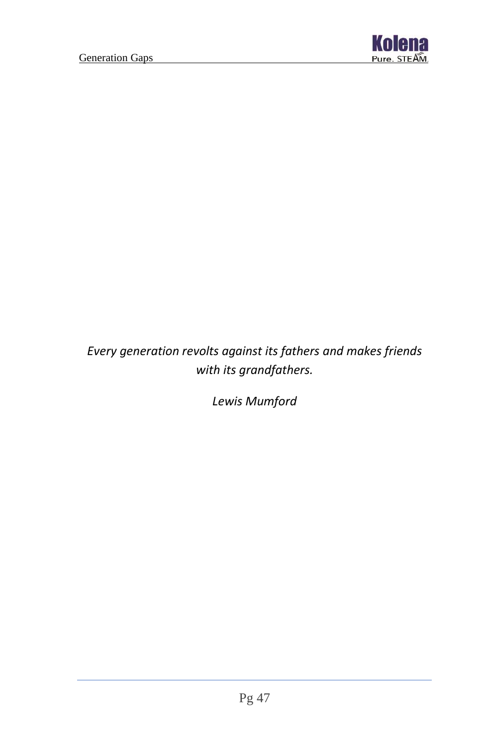

## *Every generation revolts against its fathers and makes friends with its grandfathers.*

*Lewis Mumford*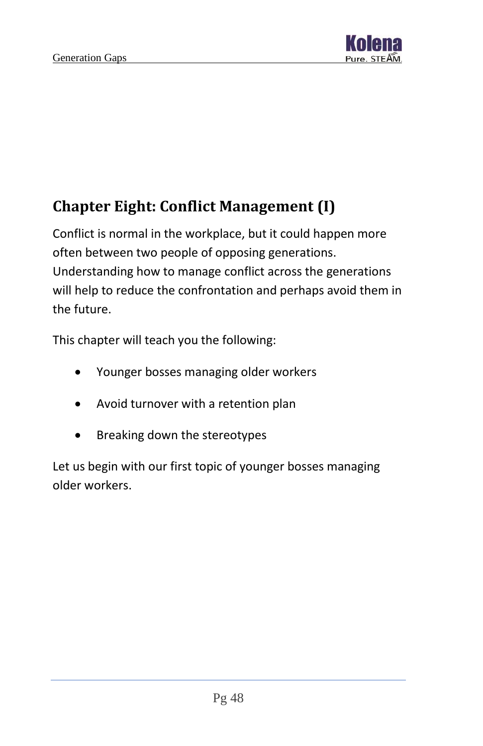

# <span id="page-48-0"></span>**Chapter Eight: Conflict Management (I)**

Conflict is normal in the workplace, but it could happen more often between two people of opposing generations. Understanding how to manage conflict across the generations will help to reduce the confrontation and perhaps avoid them in the future.

This chapter will teach you the following:

- Younger bosses managing older workers
- Avoid turnover with a retention plan
- Breaking down the stereotypes

Let us begin with our first topic of younger bosses managing older workers.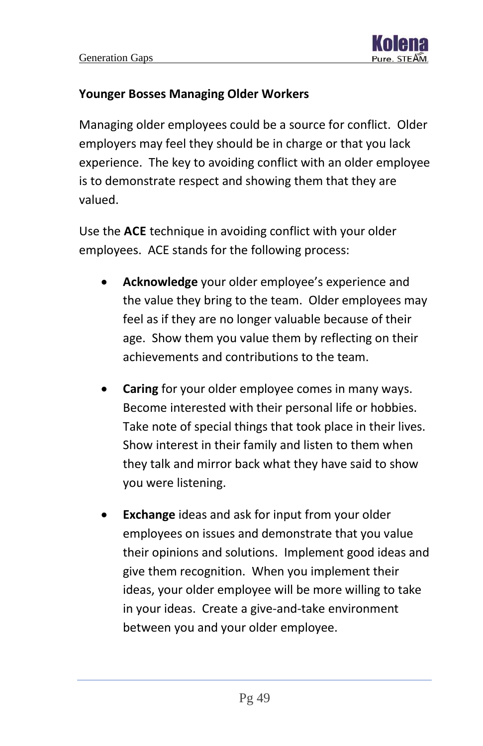

#### **Younger Bosses Managing Older Workers**

Managing older employees could be a source for conflict. Older employers may feel they should be in charge or that you lack experience. The key to avoiding conflict with an older employee is to demonstrate respect and showing them that they are valued.

Use the **ACE** technique in avoiding conflict with your older employees. ACE stands for the following process:

- **Acknowledge** your older employee's experience and the value they bring to the team. Older employees may feel as if they are no longer valuable because of their age. Show them you value them by reflecting on their achievements and contributions to the team.
- **Caring** for your older employee comes in many ways. Become interested with their personal life or hobbies. Take note of special things that took place in their lives. Show interest in their family and listen to them when they talk and mirror back what they have said to show you were listening.
- **Exchange** ideas and ask for input from your older employees on issues and demonstrate that you value their opinions and solutions. Implement good ideas and give them recognition. When you implement their ideas, your older employee will be more willing to take in your ideas. Create a give-and-take environment between you and your older employee.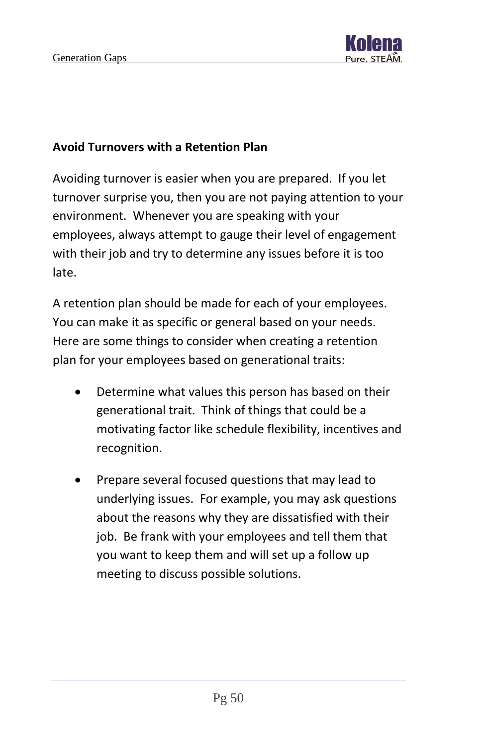

#### **Avoid Turnovers with a Retention Plan**

Avoiding turnover is easier when you are prepared. If you let turnover surprise you, then you are not paying attention to your environment. Whenever you are speaking with your employees, always attempt to gauge their level of engagement with their job and try to determine any issues before it is too late.

A retention plan should be made for each of your employees. You can make it as specific or general based on your needs. Here are some things to consider when creating a retention plan for your employees based on generational traits:

- Determine what values this person has based on their generational trait. Think of things that could be a motivating factor like schedule flexibility, incentives and recognition.
- Prepare several focused questions that may lead to underlying issues. For example, you may ask questions about the reasons why they are dissatisfied with their job. Be frank with your employees and tell them that you want to keep them and will set up a follow up meeting to discuss possible solutions.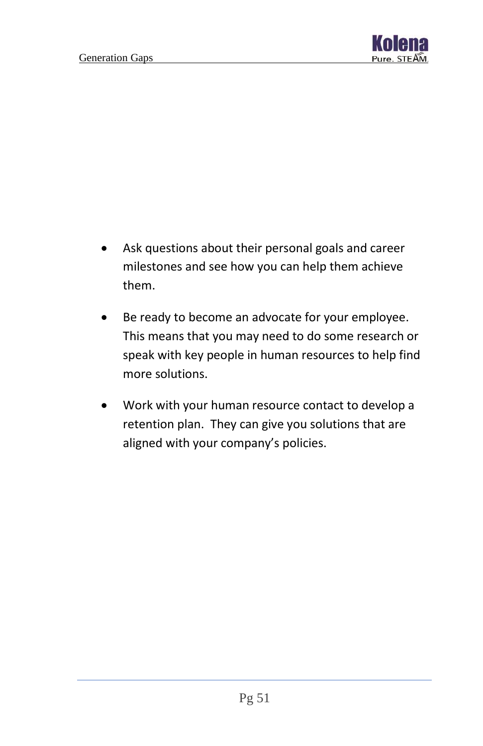

- Ask questions about their personal goals and career milestones and see how you can help them achieve them.
- Be ready to become an advocate for your employee. This means that you may need to do some research or speak with key people in human resources to help find more solutions.
- Work with your human resource contact to develop a retention plan. They can give you solutions that are aligned with your company's policies.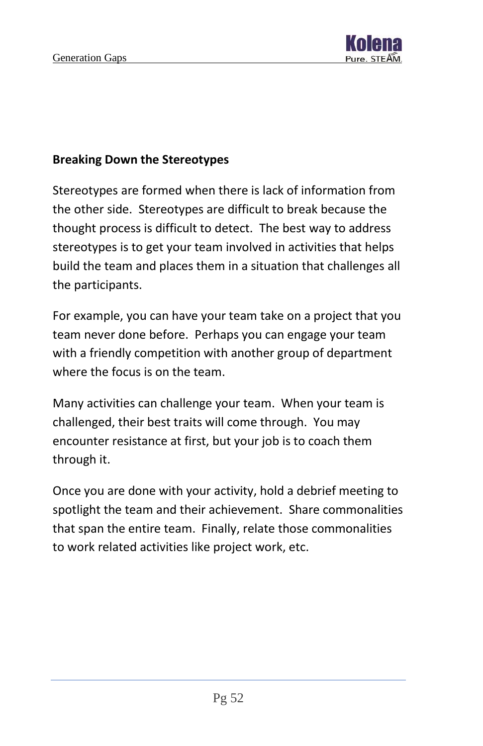

#### **Breaking Down the Stereotypes**

Stereotypes are formed when there is lack of information from the other side. Stereotypes are difficult to break because the thought process is difficult to detect. The best way to address stereotypes is to get your team involved in activities that helps build the team and places them in a situation that challenges all the participants.

For example, you can have your team take on a project that you team never done before. Perhaps you can engage your team with a friendly competition with another group of department where the focus is on the team.

Many activities can challenge your team. When your team is challenged, their best traits will come through. You may encounter resistance at first, but your job is to coach them through it.

Once you are done with your activity, hold a debrief meeting to spotlight the team and their achievement. Share commonalities that span the entire team. Finally, relate those commonalities to work related activities like project work, etc.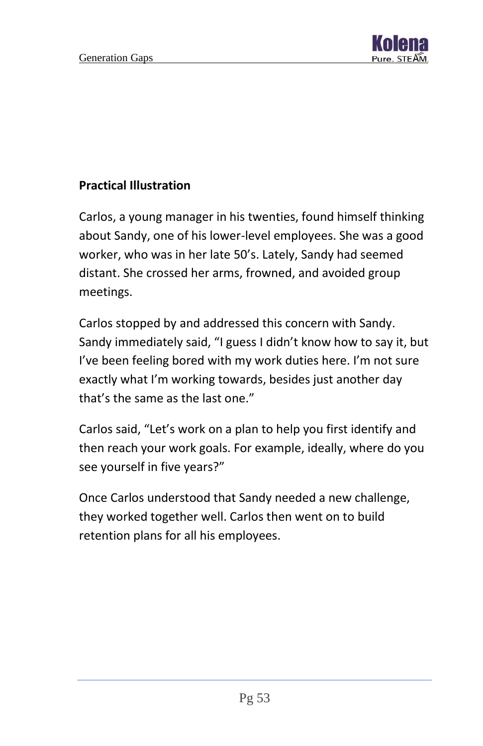

#### **Practical Illustration**

Carlos, a young manager in his twenties, found himself thinking about Sandy, one of his lower-level employees. She was a good worker, who was in her late 50's. Lately, Sandy had seemed distant. She crossed her arms, frowned, and avoided group meetings.

Carlos stopped by and addressed this concern with Sandy. Sandy immediately said, "I guess I didn't know how to say it, but I've been feeling bored with my work duties here. I'm not sure exactly what I'm working towards, besides just another day that's the same as the last one."

Carlos said, "Let's work on a plan to help you first identify and then reach your work goals. For example, ideally, where do you see yourself in five years?"

Once Carlos understood that Sandy needed a new challenge, they worked together well. Carlos then went on to build retention plans for all his employees.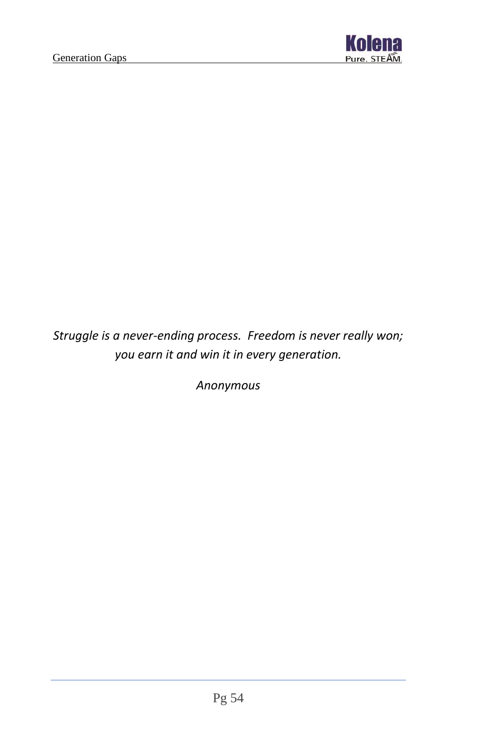

*Struggle is a never-ending process. Freedom is never really won; you earn it and win it in every generation.*

*Anonymous*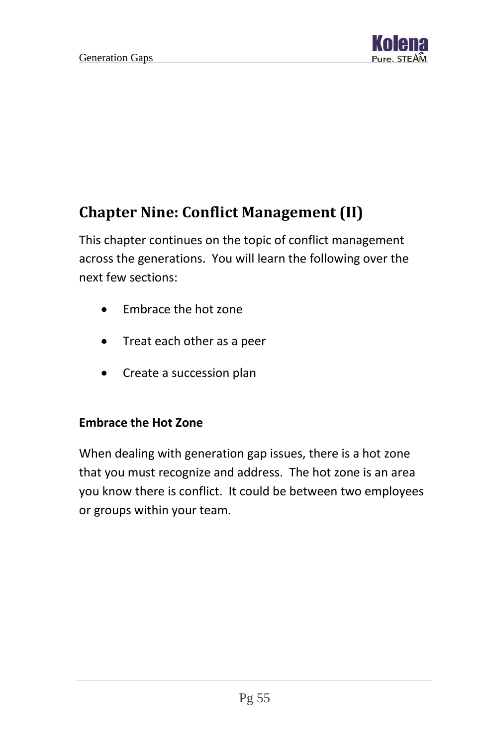

# <span id="page-55-0"></span>**Chapter Nine: Conflict Management (II)**

This chapter continues on the topic of conflict management across the generations. You will learn the following over the next few sections:

- Embrace the hot zone
- Treat each other as a peer
- Create a succession plan

#### **Embrace the Hot Zone**

When dealing with generation gap issues, there is a hot zone that you must recognize and address. The hot zone is an area you know there is conflict. It could be between two employees or groups within your team.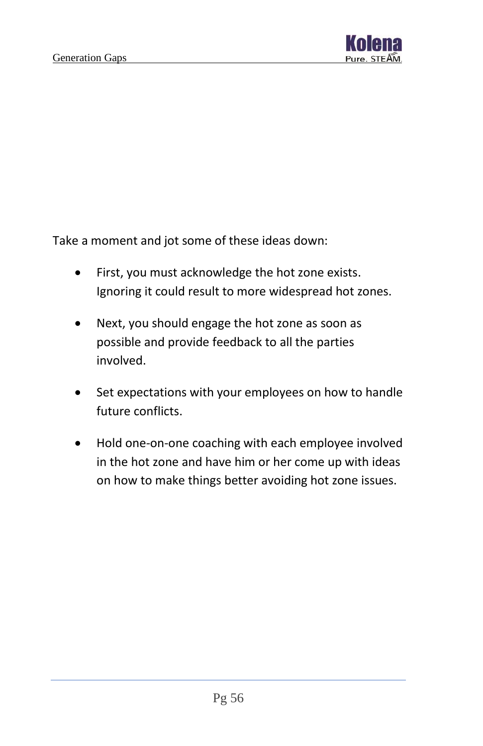

Take a moment and jot some of these ideas down:

- First, you must acknowledge the hot zone exists. Ignoring it could result to more widespread hot zones.
- Next, you should engage the hot zone as soon as possible and provide feedback to all the parties involved.
- Set expectations with your employees on how to handle future conflicts.
- Hold one-on-one coaching with each employee involved in the hot zone and have him or her come up with ideas on how to make things better avoiding hot zone issues.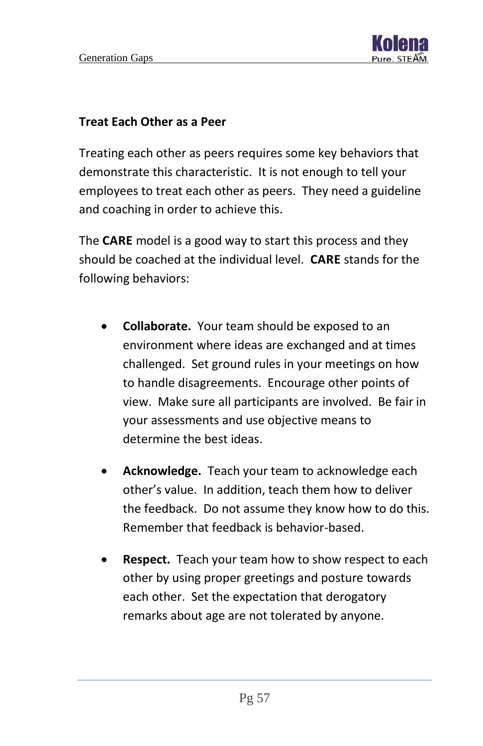

#### **Treat Each Other as a Peer**

Treating each other as peers requires some key behaviors that demonstrate this characteristic. It is not enough to tell your employees to treat each other as peers. They need a guideline and coaching in order to achieve this.

The **CARE** model is a good way to start this process and they should be coached at the individual level. **CARE** stands for the following behaviors:

- **Collaborate.** Your team should be exposed to an environment where ideas are exchanged and at times challenged. Set ground rules in your meetings on how to handle disagreements. Encourage other points of view. Make sure all participants are involved. Be fair in your assessments and use objective means to determine the best ideas.
- **Acknowledge.** Teach your team to acknowledge each other's value. In addition, teach them how to deliver the feedback. Do not assume they know how to do this. Remember that feedback is behavior-based.
- **Respect.** Teach your team how to show respect to each other by using proper greetings and posture towards each other. Set the expectation that derogatory remarks about age are not tolerated by anyone.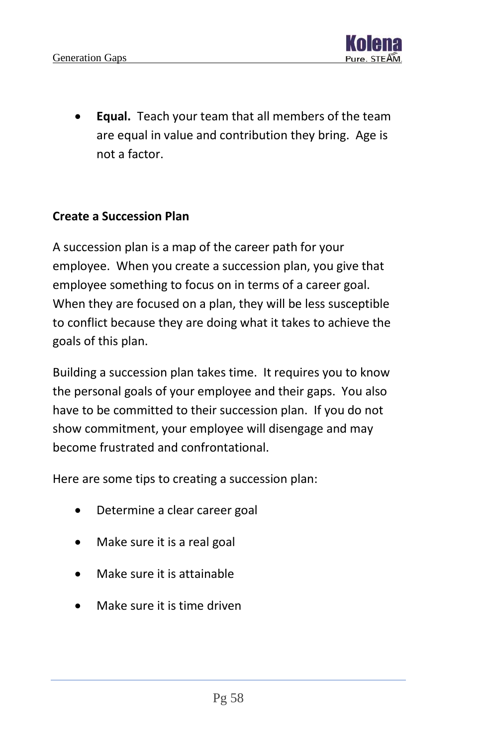

**Equal.** Teach your team that all members of the team are equal in value and contribution they bring. Age is not a factor.

#### **Create a Succession Plan**

A succession plan is a map of the career path for your employee. When you create a succession plan, you give that employee something to focus on in terms of a career goal. When they are focused on a plan, they will be less susceptible to conflict because they are doing what it takes to achieve the goals of this plan.

Building a succession plan takes time. It requires you to know the personal goals of your employee and their gaps. You also have to be committed to their succession plan. If you do not show commitment, your employee will disengage and may become frustrated and confrontational.

Here are some tips to creating a succession plan:

- Determine a clear career goal
- Make sure it is a real goal
- Make sure it is attainable
- Make sure it is time driven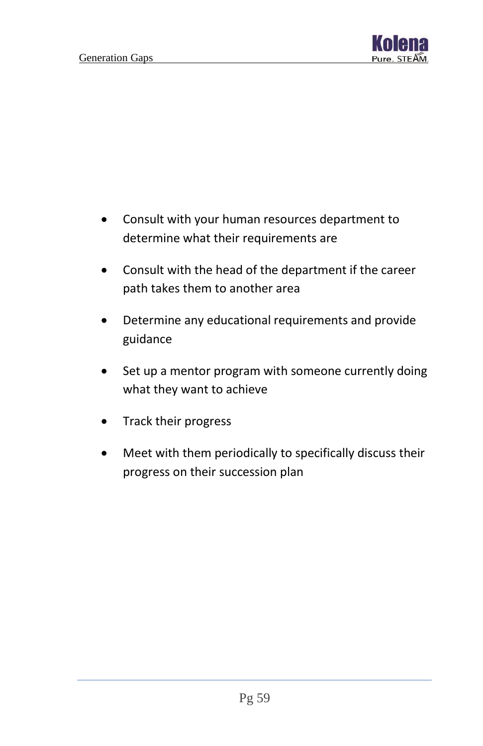

- Consult with your human resources department to determine what their requirements are
- Consult with the head of the department if the career path takes them to another area
- Determine any educational requirements and provide guidance
- Set up a mentor program with someone currently doing what they want to achieve
- Track their progress
- Meet with them periodically to specifically discuss their progress on their succession plan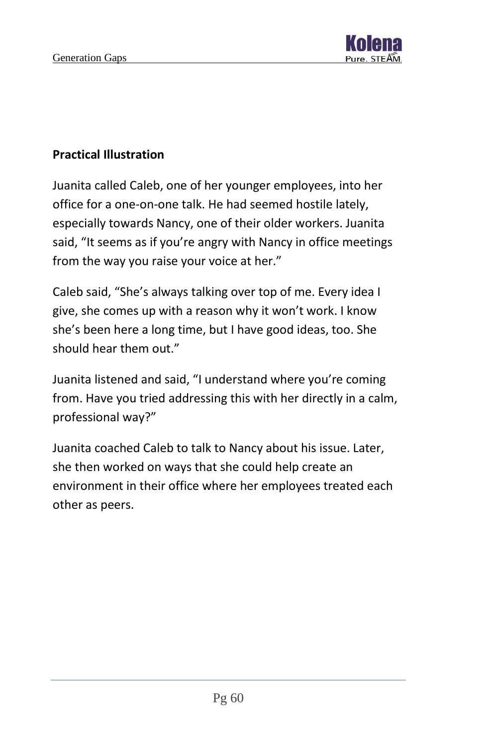

#### **Practical Illustration**

Juanita called Caleb, one of her younger employees, into her office for a one-on-one talk. He had seemed hostile lately, especially towards Nancy, one of their older workers. Juanita said, "It seems as if you're angry with Nancy in office meetings from the way you raise your voice at her."

Caleb said, "She's always talking over top of me. Every idea I give, she comes up with a reason why it won't work. I know she's been here a long time, but I have good ideas, too. She should hear them out."

Juanita listened and said, "I understand where you're coming from. Have you tried addressing this with her directly in a calm, professional way?"

Juanita coached Caleb to talk to Nancy about his issue. Later, she then worked on ways that she could help create an environment in their office where her employees treated each other as peers.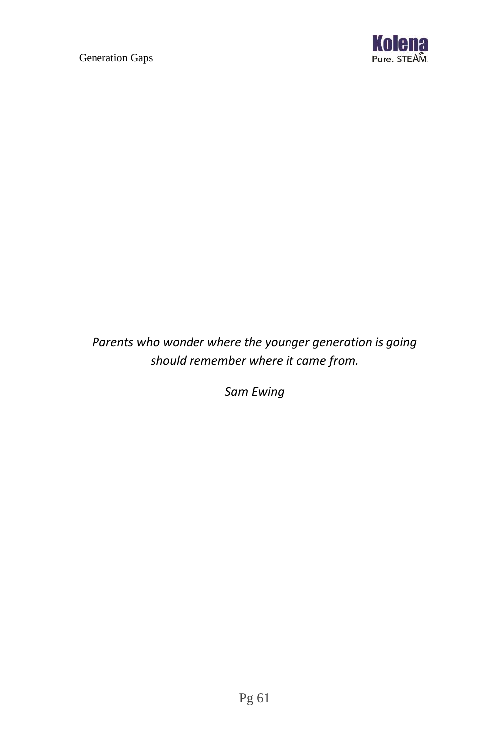

## *Parents who wonder where the younger generation is going should remember where it came from.*

*Sam Ewing*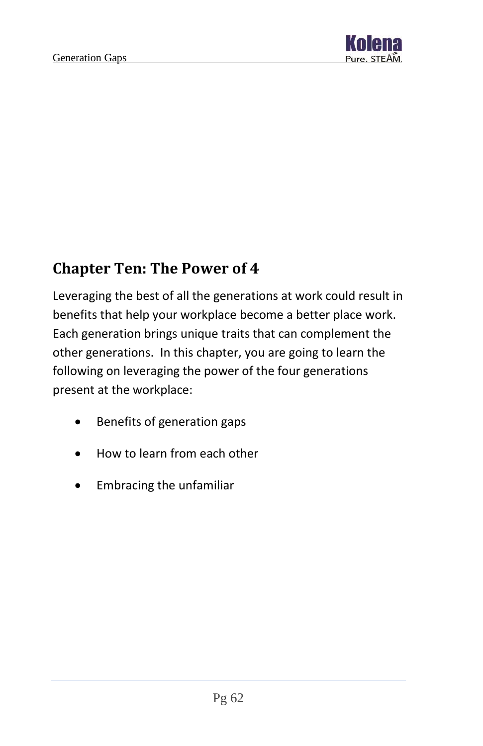

## <span id="page-62-0"></span>**Chapter Ten: The Power of 4**

Leveraging the best of all the generations at work could result in benefits that help your workplace become a better place work. Each generation brings unique traits that can complement the other generations. In this chapter, you are going to learn the following on leveraging the power of the four generations present at the workplace:

- Benefits of generation gaps
- How to learn from each other
- Embracing the unfamiliar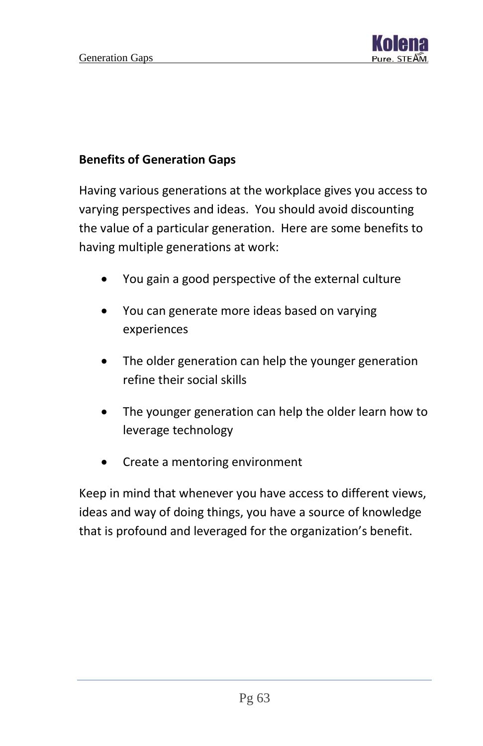

#### **Benefits of Generation Gaps**

Having various generations at the workplace gives you access to varying perspectives and ideas. You should avoid discounting the value of a particular generation. Here are some benefits to having multiple generations at work:

- You gain a good perspective of the external culture
- You can generate more ideas based on varying experiences
- The older generation can help the younger generation refine their social skills
- The younger generation can help the older learn how to leverage technology
- Create a mentoring environment

Keep in mind that whenever you have access to different views, ideas and way of doing things, you have a source of knowledge that is profound and leveraged for the organization's benefit.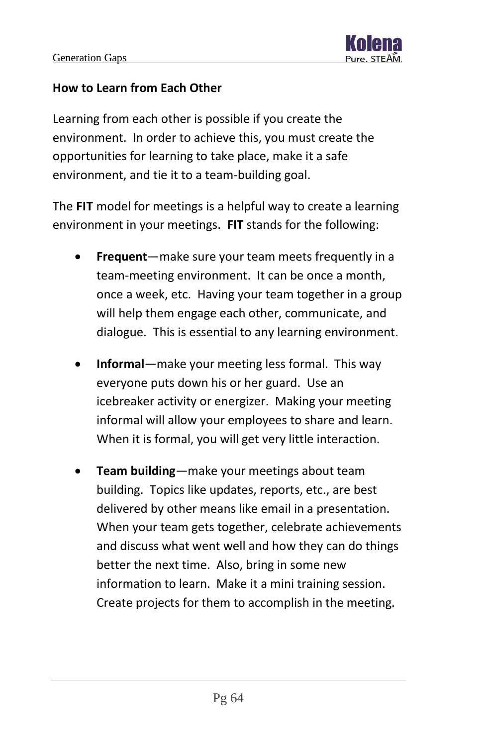

#### **How to Learn from Each Other**

Learning from each other is possible if you create the environment. In order to achieve this, you must create the opportunities for learning to take place, make it a safe environment, and tie it to a team-building goal.

The **FIT** model for meetings is a helpful way to create a learning environment in your meetings. **FIT** stands for the following:

- **Frequent**—make sure your team meets frequently in a team-meeting environment. It can be once a month, once a week, etc. Having your team together in a group will help them engage each other, communicate, and dialogue. This is essential to any learning environment.
- **Informal**—make your meeting less formal. This way everyone puts down his or her guard. Use an icebreaker activity or energizer. Making your meeting informal will allow your employees to share and learn. When it is formal, you will get very little interaction.
- **Team building**—make your meetings about team building. Topics like updates, reports, etc., are best delivered by other means like email in a presentation. When your team gets together, celebrate achievements and discuss what went well and how they can do things better the next time. Also, bring in some new information to learn. Make it a mini training session. Create projects for them to accomplish in the meeting.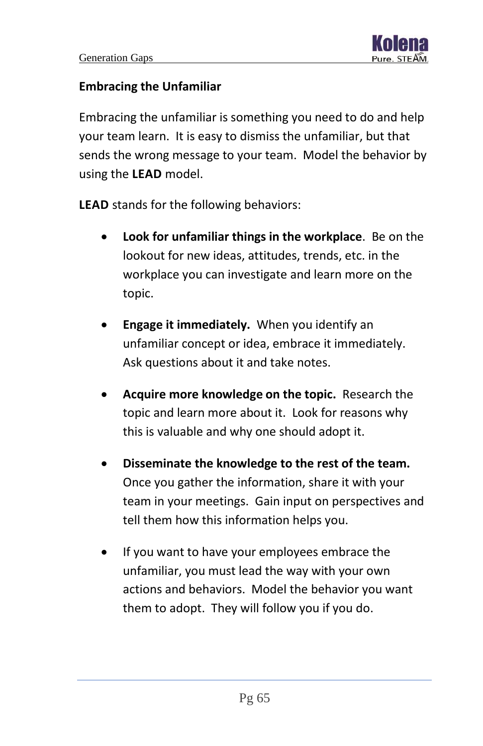#### **Embracing the Unfamiliar**

Embracing the unfamiliar is something you need to do and help your team learn. It is easy to dismiss the unfamiliar, but that sends the wrong message to your team. Model the behavior by using the **LEAD** model.

**LEAD** stands for the following behaviors:

- **Look for unfamiliar things in the workplace**. Be on the lookout for new ideas, attitudes, trends, etc. in the workplace you can investigate and learn more on the topic.
- **Engage it immediately.** When you identify an unfamiliar concept or idea, embrace it immediately. Ask questions about it and take notes.
- **Acquire more knowledge on the topic.** Research the topic and learn more about it. Look for reasons why this is valuable and why one should adopt it.
- **Disseminate the knowledge to the rest of the team.**  Once you gather the information, share it with your team in your meetings. Gain input on perspectives and tell them how this information helps you.
- If you want to have your employees embrace the unfamiliar, you must lead the way with your own actions and behaviors. Model the behavior you want them to adopt. They will follow you if you do.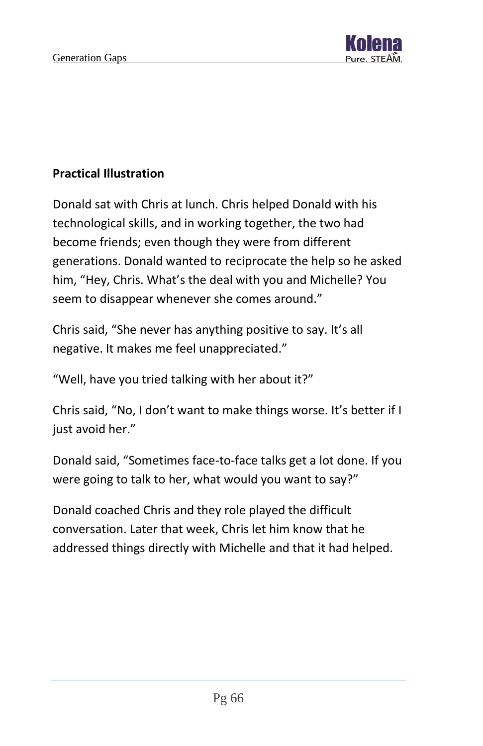

#### **Practical Illustration**

Donald sat with Chris at lunch. Chris helped Donald with his technological skills, and in working together, the two had become friends; even though they were from different generations. Donald wanted to reciprocate the help so he asked him, "Hey, Chris. What's the deal with you and Michelle? You seem to disappear whenever she comes around."

Chris said, "She never has anything positive to say. It's all negative. It makes me feel unappreciated."

"Well, have you tried talking with her about it?"

Chris said, "No, I don't want to make things worse. It's better if I just avoid her."

Donald said, "Sometimes face-to-face talks get a lot done. If you were going to talk to her, what would you want to say?"

Donald coached Chris and they role played the difficult conversation. Later that week, Chris let him know that he addressed things directly with Michelle and that it had helped.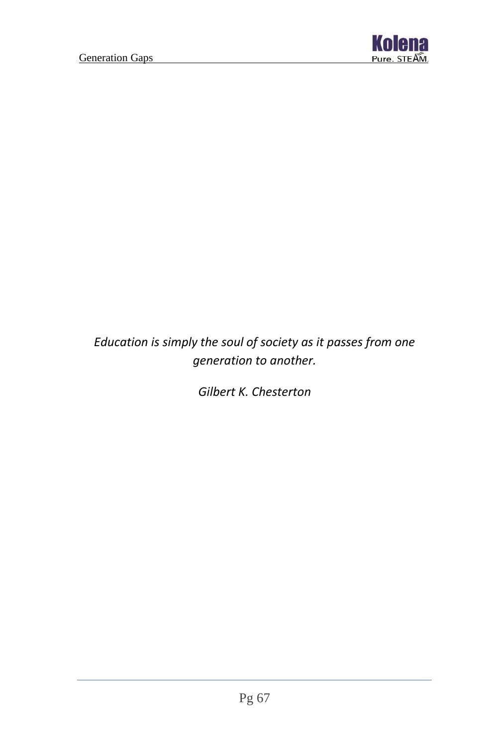

## *Education is simply the soul of society as it passes from one generation to another.*

*Gilbert K. Chesterton*